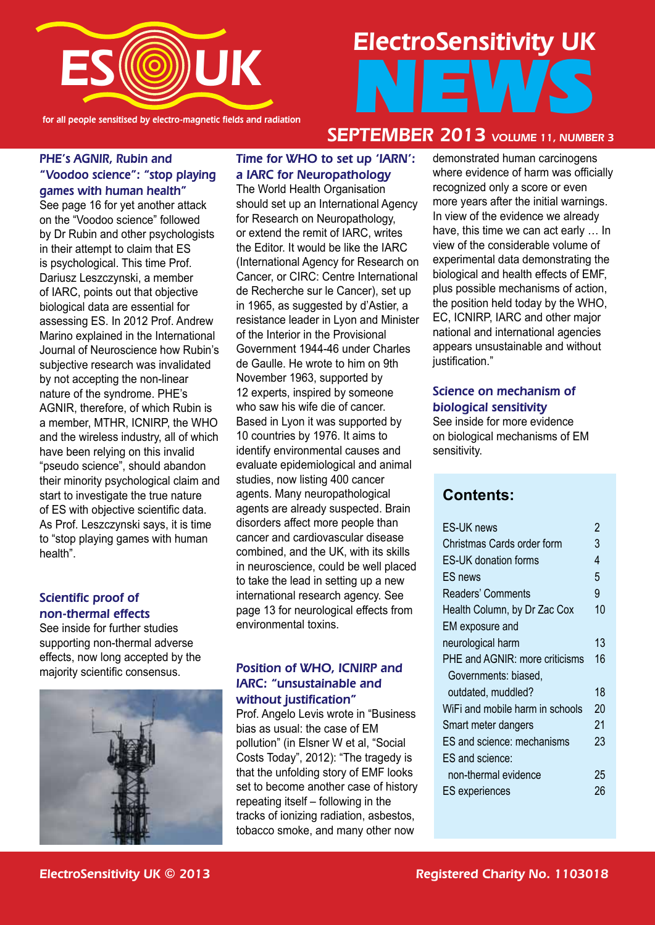

for all people sensitised by electro-magnetic fields and radiation

# ElectroSensitivity UK NEWS

#### PHE's AGNIR, Rubin and "Voodoo science": "stop playing games with human health"

See page 16 for yet another attack on the "Voodoo science" followed by Dr Rubin and other psychologists in their attempt to claim that ES is psychological. This time Prof. Dariusz Leszczynski, a member of IARC, points out that objective biological data are essential for assessing ES. In 2012 Prof. Andrew Marino explained in the International Journal of Neuroscience how Rubin's subjective research was invalidated by not accepting the non-linear nature of the syndrome. PHE's AGNIR, therefore, of which Rubin is a member, MTHR, ICNIRP, the WHO and the wireless industry, all of which have been relying on this invalid "pseudo science", should abandon their minority psychological claim and start to investigate the true nature of ES with objective scientific data. As Prof. Leszczynski says, it is time to "stop playing games with human health".

# Scientific proof of non-thermal effects

See inside for further studies supporting non-thermal adverse effects, now long accepted by the majority scientific consensus.



# Time for WHO to set up 'IARN': a IARC for Neuropathology

The World Health Organisation should set up an International Agency for Research on Neuropathology, or extend the remit of IARC, writes the Editor. It would be like the IARC (International Agency for Research on Cancer, or CIRC: Centre International de Recherche sur le Cancer), set up in 1965, as suggested by d'Astier, a resistance leader in Lyon and Minister of the Interior in the Provisional Government 1944-46 under Charles de Gaulle. He wrote to him on 9th November 1963, supported by 12 experts, inspired by someone who saw his wife die of cancer. Based in Lyon it was supported by 10 countries by 1976. It aims to identify environmental causes and evaluate epidemiological and animal studies, now listing 400 cancer agents. Many neuropathological agents are already suspected. Brain disorders affect more people than cancer and cardiovascular disease combined, and the UK, with its skills in neuroscience, could be well placed to take the lead in setting up a new international research agency. See page 13 for neurological effects from environmental toxins.

#### Position of WHO, ICNIRP and IARC: "unsustainable and without justification"

Prof. Angelo Levis wrote in "Business bias as usual: the case of EM pollution" (in Elsner W et al, "Social Costs Today", 2012): "The tragedy is that the unfolding story of EMF looks set to become another case of history repeating itself – following in the tracks of ionizing radiation, asbestos, tobacco smoke, and many other now

# SEPTEMBER 2013 VOLUME 11, NUMBER 3

demonstrated human carcinogens where evidence of harm was officially recognized only a score or even more years after the initial warnings. In view of the evidence we already have, this time we can act early … In view of the considerable volume of experimental data demonstrating the biological and health effects of EMF, plus possible mechanisms of action, the position held today by the WHO, EC, ICNIRP, IARC and other major national and international agencies appears unsustainable and without iustification."

#### Science on mechanism of biological sensitivity

See inside for more evidence on biological mechanisms of EM sensitivity.

# **Contents:**

| <b>ES-UK news</b>               | 2  |
|---------------------------------|----|
| Christmas Cards order form      | 3  |
| <b>ES-UK donation forms</b>     | 4  |
| ES news                         | 5  |
| Readers' Comments               | 9  |
| Health Column, by Dr Zac Cox    | 10 |
| EM exposure and                 |    |
| neurological harm               | 13 |
| PHE and AGNIR: more criticisms  | 16 |
| Governments: biased,            |    |
| outdated, muddled?              | 18 |
| WiFi and mobile harm in schools | 20 |
| Smart meter dangers             | 21 |
| ES and science: mechanisms      | 23 |
| ES and science:                 |    |
| non-thermal evidence            | 25 |
| <b>ES</b> experiences           | 26 |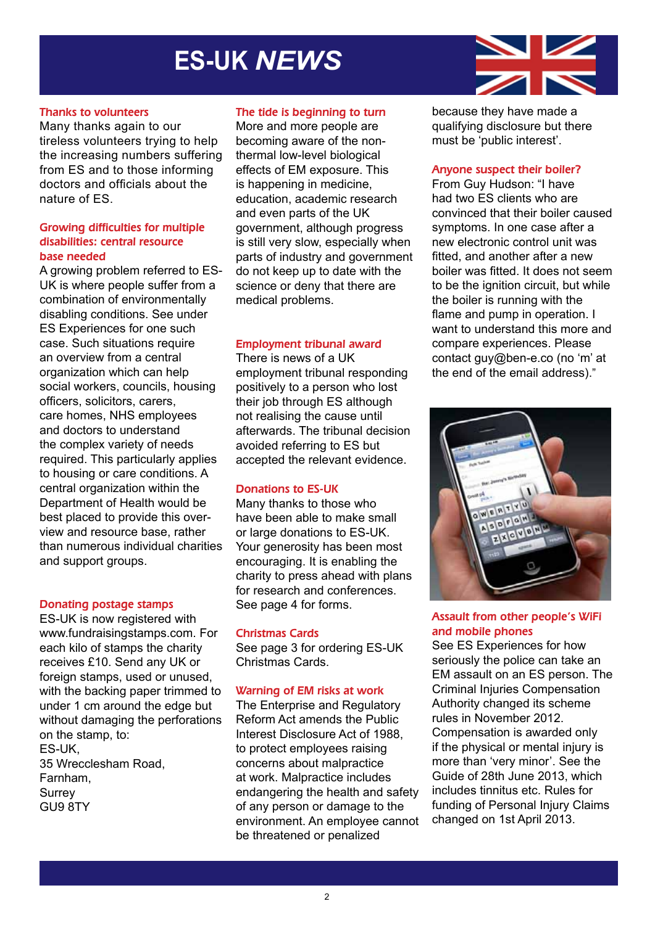# **ES-UK** *NEWS*



#### Thanks to volunteers

Many thanks again to our tireless volunteers trying to help the increasing numbers suffering from ES and to those informing doctors and officials about the nature of ES.

#### Growing difficulties for multiple disabilities: central resource base needed

A growing problem referred to ES-UK is where people suffer from a combination of environmentally disabling conditions. See under ES Experiences for one such case. Such situations require an overview from a central organization which can help social workers, councils, housing officers, solicitors, carers, care homes, NHS employees and doctors to understand the complex variety of needs required. This particularly applies to housing or care conditions. A central organization within the Department of Health would be best placed to provide this overview and resource base, rather than numerous individual charities and support groups.

#### Donating postage stamps

ES-UK is now registered with www.fundraisingstamps.com. For each kilo of stamps the charity receives £10. Send any UK or foreign stamps, used or unused, with the backing paper trimmed to under 1 cm around the edge but without damaging the perforations on the stamp, to: ES-UK, 35 Wrecclesham Road, Farnham, **Surrey** GU9 8TY

#### The tide is beginning to turn

More and more people are becoming aware of the nonthermal low-level biological effects of EM exposure. This is happening in medicine, education, academic research and even parts of the UK government, although progress is still very slow, especially when parts of industry and government do not keep up to date with the science or deny that there are medical problems.

#### Employment tribunal award

#### There is news of a UK

employment tribunal responding positively to a person who lost their job through ES although not realising the cause until afterwards. The tribunal decision avoided referring to ES but accepted the relevant evidence.

#### Donations to ES-UK

Many thanks to those who have been able to make small or large donations to ES-UK. Your generosity has been most encouraging. It is enabling the charity to press ahead with plans for research and conferences. See page 4 for forms.

#### Christmas Cards

See page 3 for ordering ES-UK Christmas Cards.

#### Warning of EM risks at work

The Enterprise and Regulatory Reform Act amends the Public Interest Disclosure Act of 1988, to protect employees raising concerns about malpractice at work. Malpractice includes endangering the health and safety of any person or damage to the environment. An employee cannot be threatened or penalized

because they have made a qualifying disclosure but there must be 'public interest'.

#### Anyone suspect their boiler?

From Guy Hudson: "I have had two ES clients who are convinced that their boiler caused symptoms. In one case after a new electronic control unit was fitted, and another after a new boiler was fitted. It does not seem to be the ignition circuit, but while the boiler is running with the flame and pump in operation. I want to understand this more and compare experiences. Please contact guy@ben-e.co (no 'm' at the end of the email address)."



#### Assault from other people's WiFi and mobile phones

See ES Experiences for how seriously the police can take an EM assault on an ES person. The Criminal Injuries Compensation Authority changed its scheme rules in November 2012. Compensation is awarded only if the physical or mental injury is more than 'very minor'. See the Guide of 28th June 2013, which includes tinnitus etc. Rules for funding of Personal Injury Claims changed on 1st April 2013.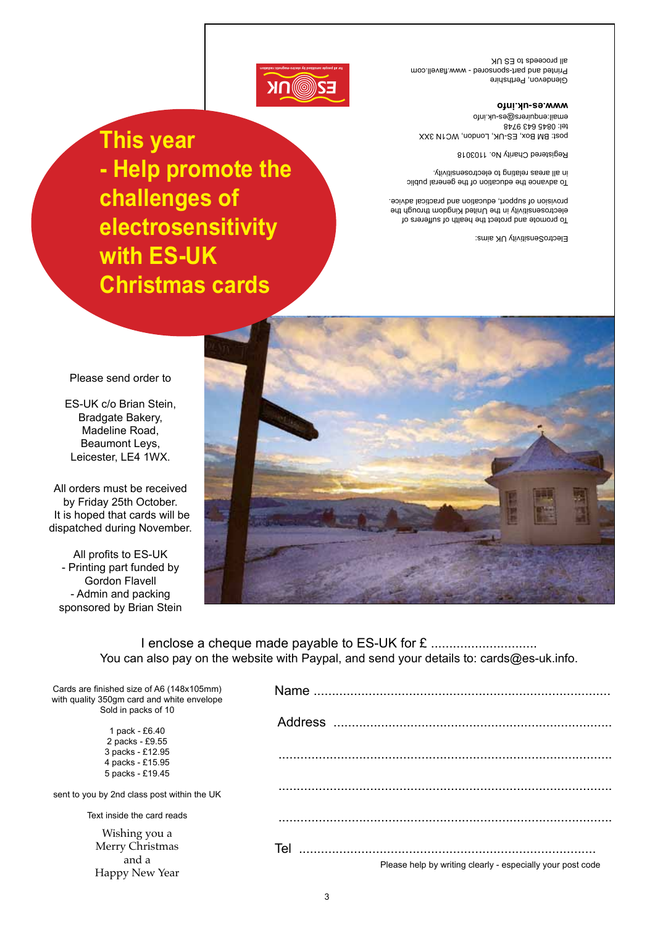Glendevon, Perthshire Printed and part-sponsored - www.flavell.com all proceeds to ES UK

#### **www.es-uk.info**

post: BM Box, ES-UK, London, WC1N 3XX tel: 0845 643 9748 email:enquirers@es-uk.info

Registered Charity No. 1103018

To advance the education of the general public in all areas relating to electrosensitivity.

To promote and protect the health of sufferers of electrosensitivity in the United Kingdom through the provision of support, education and practical advice.

ElectroSensitivity UK aims:



# **This year**

**- Help promote the challenges of electrosensitivity with ES-UK Christmas cards**



ES-UK c/o Brian Stein, Bradgate Bakery, Madeline Road, Beaumont Leys, Leicester, LE4 1WX.

All orders must be received by Friday 25th October. It is hoped that cards will be dispatched during November.

All profits to ES-UK - Printing part funded by Gordon Flavell - Admin and packing sponsored by Brian Stein



I enclose a cheque made payable to ES-UK for £ .................................. You can also pay on the website with Paypal, and send your details to: cards@es-uk.info.

| Cards are finished size of A6 (148x105mm)<br>with quality 350gm card and white envelope<br>Sold in packs of 10 | Name.                                                      |
|----------------------------------------------------------------------------------------------------------------|------------------------------------------------------------|
|                                                                                                                | <b>Address</b>                                             |
| 1 pack - £6.40                                                                                                 |                                                            |
| 2 packs - £9.55                                                                                                |                                                            |
| 3 packs - £12.95                                                                                               |                                                            |
| 4 packs - £15.95                                                                                               |                                                            |
| 5 packs - £19.45                                                                                               |                                                            |
| sent to you by 2nd class post within the UK                                                                    |                                                            |
| Text inside the card reads                                                                                     |                                                            |
| Wishing you a                                                                                                  |                                                            |
| Merry Christmas                                                                                                | Tel                                                        |
| and a                                                                                                          |                                                            |
|                                                                                                                | Please help by writing clearly - especially your post code |
| Happy New Year                                                                                                 |                                                            |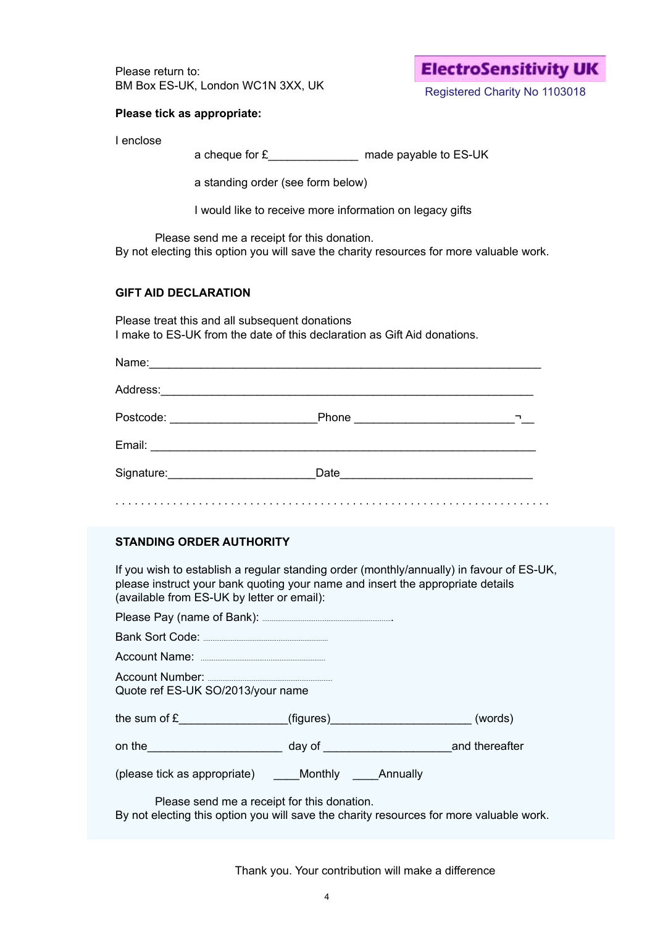Please return to: BM Box ES-UK, London WC1N 3XX, UK

# **ElectroSensitivity UK**

Registered Charity No 1103018

#### **Please tick as appropriate:**

I enclose

a cheque for £\_\_\_\_\_\_\_\_\_\_\_\_\_\_ made payable to ES-UK

a standing order (see form below)

I would like to receive more information on legacy gifts

Please send me a receipt for this donation.

By not electing this option you will save the charity resources for more valuable work.

#### **GIFT AID DECLARATION**

Please treat this and all subsequent donations I make to ES-UK from the date of this declaration as Gift Aid donations.

#### **STANDING ORDER AUTHORITY**

If you wish to establish a regular standing order (monthly/annually) in favour of ES-UK, please instruct your bank quoting your name and insert the appropriate details (available from ES-UK by letter or email):

| Quote ref ES-UK SO/2013/your name                                                                                                                                                                                              |  |
|--------------------------------------------------------------------------------------------------------------------------------------------------------------------------------------------------------------------------------|--|
| the sum of $\mathbf{E}$ (figures) (words)                                                                                                                                                                                      |  |
| on the and thereafter day of and the control on the control on the control on the control on the control of the control on the control of the control of the control of the control of the control of the control of the contr |  |
| (please tick as appropriate) _______ Monthly ______ Annually                                                                                                                                                                   |  |
| Please send me a receipt for this donation.                                                                                                                                                                                    |  |

By not electing this option you will save the charity resources for more valuable work.

Thank you. Your contribution will make a difference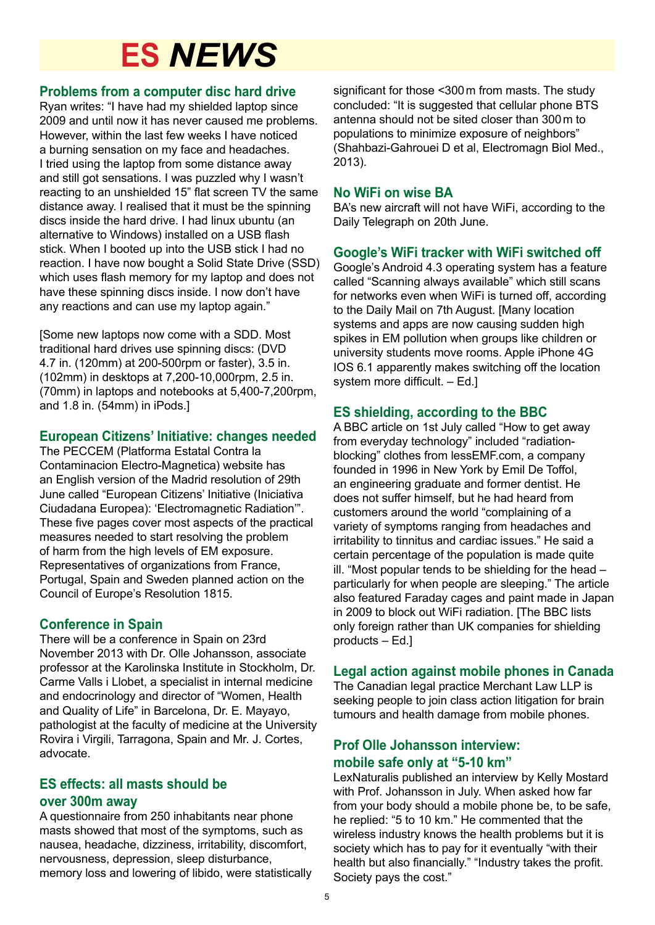# **ES** *NEWS*

# **Problems from a computer disc hard drive**

Ryan writes: "I have had my shielded laptop since 2009 and until now it has never caused me problems. However, within the last few weeks I have noticed a burning sensation on my face and headaches. I tried using the laptop from some distance away and still got sensations. I was puzzled why I wasn't reacting to an unshielded 15" flat screen TV the same distance away. I realised that it must be the spinning discs inside the hard drive. I had linux ubuntu (an alternative to Windows) installed on a USB flash stick. When I booted up into the USB stick I had no reaction. I have now bought a Solid State Drive (SSD) which uses flash memory for my laptop and does not have these spinning discs inside. I now don't have any reactions and can use my laptop again."

[Some new laptops now come with a SDD. Most traditional hard drives use spinning discs: (DVD 4.7 in. (120mm) at 200-500rpm or faster), 3.5 in. (102mm) in desktops at 7,200-10,000rpm, 2.5 in. (70mm) in laptops and notebooks at 5,400-7,200rpm, and 1.8 in. (54mm) in iPods.]

# **European Citizens' Initiative: changes needed**

The PECCEM (Platforma Estatal Contra la Contaminacion Electro-Magnetica) website has an English version of the Madrid resolution of 29th June called "European Citizens' Initiative (Iniciativa Ciudadana Europea): 'Electromagnetic Radiation'". These five pages cover most aspects of the practical measures needed to start resolving the problem of harm from the high levels of EM exposure. Representatives of organizations from France, Portugal, Spain and Sweden planned action on the Council of Europe's Resolution 1815.

# **Conference in Spain**

There will be a conference in Spain on 23rd November 2013 with Dr. Olle Johansson, associate professor at the Karolinska Institute in Stockholm, Dr. Carme Valls i Llobet, a specialist in internal medicine and endocrinology and director of "Women, Health and Quality of Life" in Barcelona, Dr. E. Mayayo, pathologist at the faculty of medicine at the University Rovira i Virgili, Tarragona, Spain and Mr. J. Cortes, advocate.

# **ES effects: all masts should be over 300m away**

A questionnaire from 250 inhabitants near phone masts showed that most of the symptoms, such as nausea, headache, dizziness, irritability, discomfort, nervousness, depression, sleep disturbance, memory loss and lowering of libido, were statistically

significant for those <300m from masts. The study concluded: "It is suggested that cellular phone BTS antenna should not be sited closer than 300m to populations to minimize exposure of neighbors" (Shahbazi-Gahrouei D et al, Electromagn Biol Med., 2013).

## **No WiFi on wise BA**

BA's new aircraft will not have WiFi, according to the Daily Telegraph on 20th June.

# **Google's WiFi tracker with WiFi switched off**

Google's Android 4.3 operating system has a feature called "Scanning always available" which still scans for networks even when WiFi is turned off, according to the Daily Mail on 7th August. [Many location systems and apps are now causing sudden high spikes in EM pollution when groups like children or university students move rooms. Apple iPhone 4G IOS 6.1 apparently makes switching off the location system more difficult. – Ed.]

# **ES shielding, according to the BBC**

A BBC article on 1st July called "How to get away from everyday technology" included "radiationblocking" clothes from lessEMF.com, a company founded in 1996 in New York by Emil De Toffol, an engineering graduate and former dentist. He does not suffer himself, but he had heard from customers around the world "complaining of a variety of symptoms ranging from headaches and irritability to tinnitus and cardiac issues." He said a certain percentage of the population is made quite ill. "Most popular tends to be shielding for the head – particularly for when people are sleeping." The article also featured Faraday cages and paint made in Japan in 2009 to block out WiFi radiation. [The BBC lists only foreign rather than UK companies for shielding products – Ed.]

# **Legal action against mobile phones in Canada**

The Canadian legal practice Merchant Law LLP is seeking people to join class action litigation for brain tumours and health damage from mobile phones.

# **Prof Olle Johansson interview: mobile safe only at "5-10 km"**

LexNaturalis published an interview by Kelly Mostard with Prof. Johansson in July. When asked how far from your body should a mobile phone be, to be safe, he replied: "5 to 10 km." He commented that the wireless industry knows the health problems but it is society which has to pay for it eventually "with their health but also financially." "Industry takes the profit. Society pays the cost."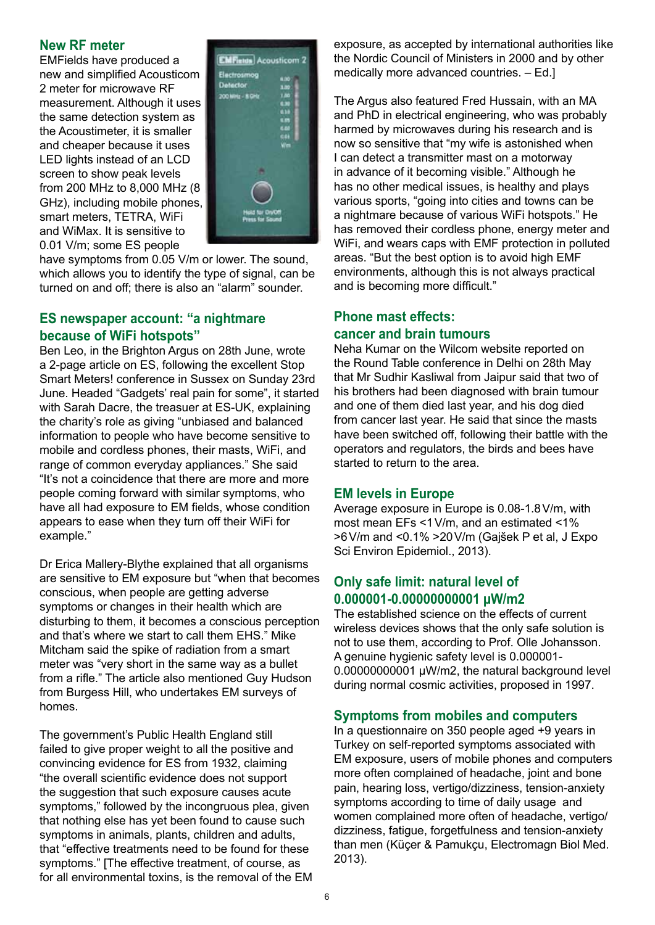#### **New RF meter**

EMFields have produced a new and simplified Acousticom 2 meter for microwave RF measurement. Although it uses the same detection system as the Acoustimeter, it is smaller and cheaper because it uses LED lights instead of an LCD screen to show peak levels from 200 MHz to 8,000 MHz (8 GHz), including mobile phones, smart meters, TETRA, WiFi and WiMax. It is sensitive to 0.01 V/m; some ES people



have symptoms from 0.05 V/m or lower. The sound, which allows you to identify the type of signal, can be turned on and off; there is also an "alarm" sounder.

#### **ES newspaper account: "a nightmare because of WiFi hotspots"**

Ben Leo, in the Brighton Argus on 28th June, wrote a 2-page article on ES, following the excellent Stop Smart Meters! conference in Sussex on Sunday 23rd June. Headed "Gadgets' real pain for some", it started with Sarah Dacre, the treasuer at ES-UK, explaining the charity's role as giving "unbiased and balanced information to people who have become sensitive to mobile and cordless phones, their masts, WiFi, and range of common everyday appliances." She said "It's not a coincidence that there are more and more people coming forward with similar symptoms, who have all had exposure to EM fields, whose condition appears to ease when they turn off their WiFi for example."

Dr Erica Mallery-Blythe explained that all organisms are sensitive to EM exposure but "when that becomes conscious, when people are getting adverse symptoms or changes in their health which are disturbing to them, it becomes a conscious perception and that's where we start to call them EHS." Mike Mitcham said the spike of radiation from a smart meter was "very short in the same way as a bullet from a rifle." The article also mentioned Guy Hudson from Burgess Hill, who undertakes EM surveys of homes.

The government's Public Health England still failed to give proper weight to all the positive and convincing evidence for ES from 1932, claiming "the overall scientific evidence does not support the suggestion that such exposure causes acute symptoms," followed by the incongruous plea, given that nothing else has yet been found to cause such symptoms in animals, plants, children and adults, that "effective treatments need to be found for these symptoms." [The effective treatment, of course, as for all environmental toxins, is the removal of the EM

exposure, as accepted by international authorities like the Nordic Council of Ministers in 2000 and by other medically more advanced countries. – Ed.]

The Argus also featured Fred Hussain, with an MA and PhD in electrical engineering, who was probably harmed by microwaves during his research and is now so sensitive that "my wife is astonished when I can detect a transmitter mast on a motorway in advance of it becoming visible." Although he has no other medical issues, is healthy and plays various sports, "going into cities and towns can be a nightmare because of various WiFi hotspots." He has removed their cordless phone, energy meter and WiFi, and wears caps with EMF protection in polluted areas. "But the best option is to avoid high EMF environments, although this is not always practical and is becoming more difficult."

# **Phone mast effects: cancer and brain tumours**

Neha Kumar on the Wilcom website reported on the Round Table conference in Delhi on 28th May that Mr Sudhir Kasliwal from Jaipur said that two of his brothers had been diagnosed with brain tumour and one of them died last year, and his dog died from cancer last year. He said that since the masts have been switched off, following their battle with the operators and regulators, the birds and bees have started to return to the area.

# **EM levels in Europe**

Average exposure in Europe is 0.08-1.8V/m, with most mean EFs <1V/m, and an estimated <1% >6V/m and <0.1% >20V/m (Gajšek P et al, J Expo Sci Environ Epidemiol., 2013).

# **Only safe limit: natural level of 0.000001-0.00000000001 µW/m2**

The established science on the effects of current wireless devices shows that the only safe solution is not to use them, according to Prof. Olle Johansson. A genuine hygienic safety level is 0.000001- 0.00000000001 µW/m2, the natural background level during normal cosmic activities, proposed in 1997.

#### **Symptoms from mobiles and computers**

In a questionnaire on 350 people aged +9 years in Turkey on self-reported symptoms associated with EM exposure, users of mobile phones and computers more often complained of headache, joint and bone pain, hearing loss, vertigo/dizziness, tension-anxiety symptoms according to time of daily usage and women complained more often of headache, vertigo/ dizziness, fatigue, forgetfulness and tension-anxiety than men (Küçer & Pamukçu, Electromagn Biol Med. 2013).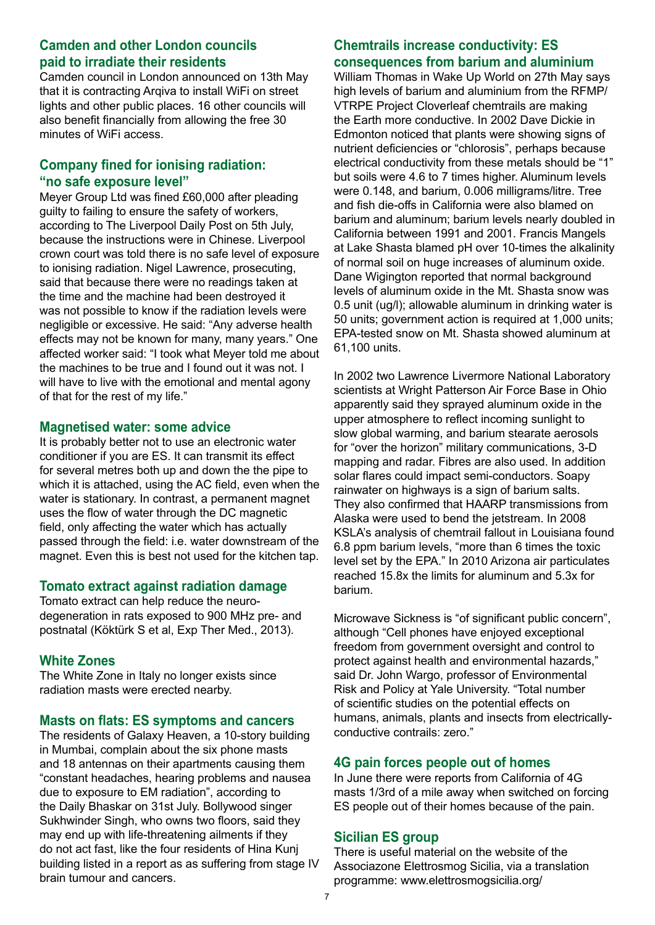## **Camden and other London councils paid to irradiate their residents**

Camden council in London announced on 13th May that it is contracting Arqiva to install WiFi on street lights and other public places. 16 other councils will also benefit financially from allowing the free 30 minutes of WiFi access.

## **Company fined for ionising radiation: "no safe exposure level"**

Meyer Group Ltd was fined £60,000 after pleading guilty to failing to ensure the safety of workers, according to The Liverpool Daily Post on 5th July, because the instructions were in Chinese. Liverpool crown court was told there is no safe level of exposure to ionising radiation. Nigel Lawrence, prosecuting, said that because there were no readings taken at the time and the machine had been destroyed it was not possible to know if the radiation levels were negligible or excessive. He said: "Any adverse health effects may not be known for many, many years." One affected worker said: "I took what Meyer told me about the machines to be true and I found out it was not. I will have to live with the emotional and mental agony of that for the rest of my life."

#### **Magnetised water: some advice**

It is probably better not to use an electronic water conditioner if you are ES. It can transmit its effect for several metres both up and down the the pipe to which it is attached, using the AC field, even when the water is stationary. In contrast, a permanent magnet uses the flow of water through the DC magnetic field, only affecting the water which has actually passed through the field: i.e. water downstream of the magnet. Even this is best not used for the kitchen tap.

#### **Tomato extract against radiation damage**

Tomato extract can help reduce the neurodegeneration in rats exposed to 900 MHz pre- and postnatal (Köktürk S et al, Exp Ther Med., 2013).

#### **White Zones**

The White Zone in Italy no longer exists since radiation masts were erected nearby.

#### **Masts on flats: ES symptoms and cancers**

The residents of Galaxy Heaven, a 10-story building in Mumbai, complain about the six phone masts and 18 antennas on their apartments causing them "constant headaches, hearing problems and nausea due to exposure to EM radiation", according to the Daily Bhaskar on 31st July. Bollywood singer Sukhwinder Singh, who owns two floors, said they may end up with life-threatening ailments if they do not act fast, like the four residents of Hina Kunj building listed in a report as as suffering from stage IV brain tumour and cancers.

## **Chemtrails increase conductivity: ES consequences from barium and aluminium**

William Thomas in Wake Up World on 27th May says high levels of barium and aluminium from the RFMP/ VTRPE Project Cloverleaf chemtrails are making the Earth more conductive. In 2002 Dave Dickie in Edmonton noticed that plants were showing signs of nutrient deficiencies or "chlorosis", perhaps because electrical conductivity from these metals should be "1" but soils were 4.6 to 7 times higher. Aluminum levels were 0.148, and barium, 0.006 milligrams/litre. Tree and fish die-offs in California were also blamed on barium and aluminum; barium levels nearly doubled in California between 1991 and 2001. Francis Mangels at Lake Shasta blamed pH over 10-times the alkalinity of normal soil on huge increases of aluminum oxide. Dane Wigington reported that normal background levels of aluminum oxide in the Mt. Shasta snow was 0.5 unit (ug/l); allowable aluminum in drinking water is 50 units; government action is required at 1,000 units; EPA-tested snow on Mt. Shasta showed aluminum at 61,100 units.

In 2002 two Lawrence Livermore National Laboratory scientists at Wright Patterson Air Force Base in Ohio apparently said they sprayed aluminum oxide in the upper atmosphere to reflect incoming sunlight to slow global warming, and barium stearate aerosols for "over the horizon" military communications, 3-D mapping and radar. Fibres are also used. In addition solar flares could impact semi-conductors. Soapy rainwater on highways is a sign of barium salts. They also confirmed that HAARP transmissions from Alaska were used to bend the jetstream. In 2008 KSLA's analysis of chemtrail fallout in Louisiana found 6.8 ppm barium levels, "more than 6 times the toxic level set by the EPA." In 2010 Arizona air particulates reached 15.8x the limits for aluminum and 5.3x for barium.

Microwave Sickness is "of significant public concern", although "Cell phones have enjoyed exceptional freedom from government oversight and control to protect against health and environmental hazards," said Dr. John Wargo, professor of Environmental Risk and Policy at Yale University. "Total number of scientific studies on the potential effects on humans, animals, plants and insects from electricallyconductive contrails: zero."

# **4G pain forces people out of homes**

In June there were reports from California of 4G masts 1/3rd of a mile away when switched on forcing ES people out of their homes because of the pain.

# **Sicilian ES group**

There is useful material on the website of the Associazone Elettrosmog Sicilia, via a translation programme: www.elettrosmogsicilia.org/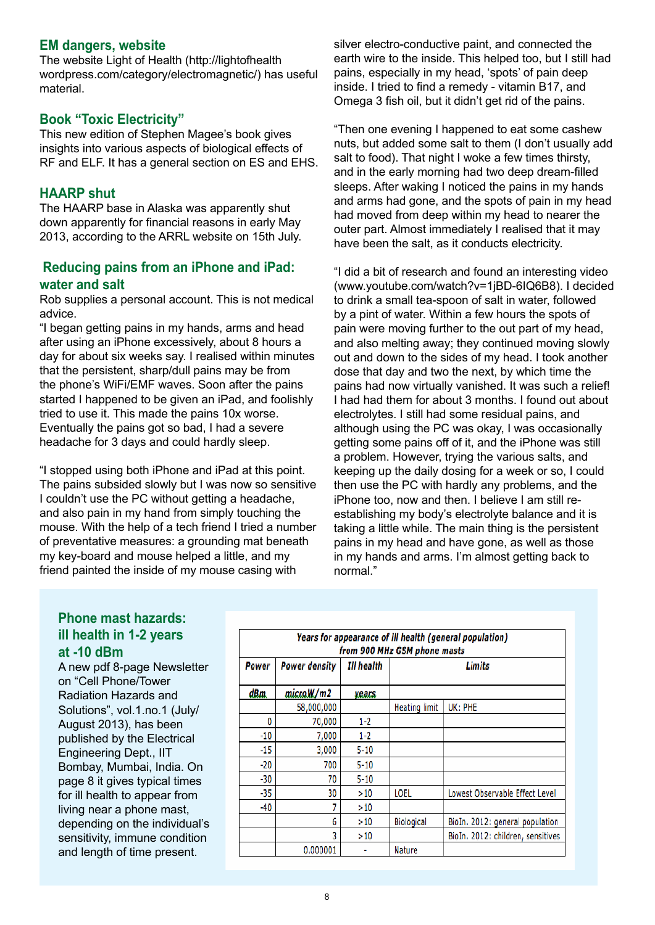#### **EM dangers, website**

The website Light of Health (http://lightofhealth wordpress.com/category/electromagnetic/) has useful material.

#### **Book "Toxic Electricity"**

This new edition of Stephen Magee's book gives insights into various aspects of biological effects of RF and ELF. It has a general section on ES and EHS.

#### **HAARP shut**

The HAARP base in Alaska was apparently shut down apparently for financial reasons in early May 2013, according to the ARRL website on 15th July.

#### **Reducing pains from an iPhone and iPad: water and salt**

Rob supplies a personal account. This is not medical advice.

"I began getting pains in my hands, arms and head after using an iPhone excessively, about 8 hours a day for about six weeks say. I realised within minutes that the persistent, sharp/dull pains may be from the phone's WiFi/EMF waves. Soon after the pains started I happened to be given an iPad, and foolishly tried to use it. This made the pains 10x worse. Eventually the pains got so bad, I had a severe headache for 3 days and could hardly sleep.

"I stopped using both iPhone and iPad at this point. The pains subsided slowly but I was now so sensitive I couldn't use the PC without getting a headache, and also pain in my hand from simply touching the mouse. With the help of a tech friend I tried a number of preventative measures: a grounding mat beneath my key-board and mouse helped a little, and my friend painted the inside of my mouse casing with

silver electro-conductive paint, and connected the earth wire to the inside. This helped too, but I still had pains, especially in my head, 'spots' of pain deep inside. I tried to find a remedy - vitamin B17, and Omega 3 fish oil, but it didn't get rid of the pains.

"Then one evening I happened to eat some cashew nuts, but added some salt to them (I don't usually add salt to food). That night I woke a few times thirsty, and in the early morning had two deep dream-filled sleeps. After waking I noticed the pains in my hands and arms had gone, and the spots of pain in my head had moved from deep within my head to nearer the outer part. Almost immediately I realised that it may have been the salt, as it conducts electricity.

"I did a bit of research and found an interesting video (www.youtube.com/watch?v=1jBD-6IQ6B8). I decided to drink a small tea-spoon of salt in water, followed by a pint of water. Within a few hours the spots of pain were moving further to the out part of my head, and also melting away; they continued moving slowly out and down to the sides of my head. I took another dose that day and two the next, by which time the pains had now virtually vanished. It was such a relief! I had had them for about 3 months. I found out about electrolytes. I still had some residual pains, and although using the PC was okay, I was occasionally getting some pains off of it, and the iPhone was still a problem. However, trying the various salts, and keeping up the daily dosing for a week or so, I could then use the PC with hardly any problems, and the iPhone too, now and then. I believe I am still reestablishing my body's electrolyte balance and it is taking a little while. The main thing is the persistent pains in my head and have gone, as well as those in my hands and arms. I'm almost getting back to normal."

# **Phone mast hazards: ill health in 1-2 years at -10 dBm**

A new pdf 8-page Newsletter on "Cell Phone/Tower Radiation Hazards and Solutions", vol.1.no.1 (July/ August 2013), has been published by the Electrical Engineering Dept., IIT Bombay, Mumbai, India. On page 8 it gives typical times for ill health to appear from living near a phone mast, depending on the individual's sensitivity, immune condition and length of time present.

| Years for appearance of ill health (general population)<br>from 900 MHz GSM phone masts |                      |            |                      |                                   |  |
|-----------------------------------------------------------------------------------------|----------------------|------------|----------------------|-----------------------------------|--|
| Power                                                                                   | <b>Power density</b> | Ill health | <b>Limits</b>        |                                   |  |
| dBm.                                                                                    | micro.W/m2           | yeals      |                      |                                   |  |
|                                                                                         | 58,000,000           |            | <b>Heating limit</b> | UK: PHE                           |  |
| 0                                                                                       | 70,000               | $1-2$      |                      |                                   |  |
| $-10$                                                                                   | 7,000                | $1 - 2$    |                      |                                   |  |
| $-15$                                                                                   | 3,000                | $5 - 10$   |                      |                                   |  |
| $-20$                                                                                   | 700                  | $5 - 10$   |                      |                                   |  |
| $-30$                                                                                   | 70                   | $5 - 10$   |                      |                                   |  |
| $-35$                                                                                   | 30                   | >10        | LOEL                 | Lowest Observable Effect Level    |  |
| $-40$                                                                                   | 7                    | >10        |                      |                                   |  |
|                                                                                         | 6                    | >10        | <b>Biological</b>    | BioIn. 2012: general population   |  |
|                                                                                         | 3                    | >10        |                      | BioIn. 2012: children, sensitives |  |
|                                                                                         | 0.000001             |            | Nature               |                                   |  |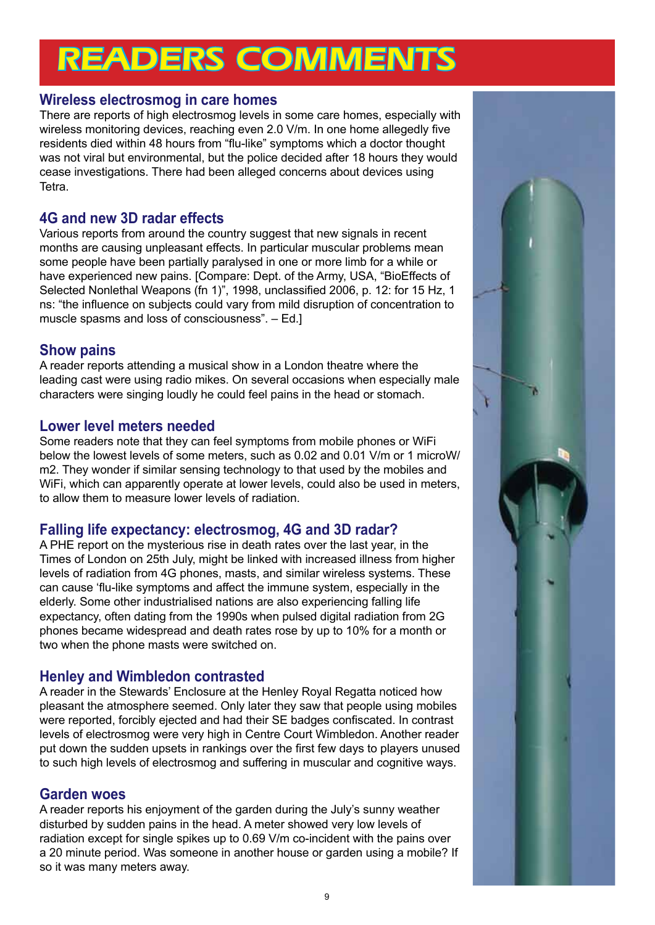# READERS COMMENTS

# **Wireless electrosmog in care homes**

There are reports of high electrosmog levels in some care homes, especially with wireless monitoring devices, reaching even 2.0 V/m. In one home allegedly five residents died within 48 hours from "flu-like" symptoms which a doctor thought was not viral but environmental, but the police decided after 18 hours they would cease investigations. There had been alleged concerns about devices using Tetra.

# **4G and new 3D radar effects**

Various reports from around the country suggest that new signals in recent months are causing unpleasant effects. In particular muscular problems mean some people have been partially paralysed in one or more limb for a while or have experienced new pains. [Compare: Dept. of the Army, USA, "BioEffects of Selected Nonlethal Weapons (fn 1)", 1998, unclassified 2006, p. 12: for 15 Hz, 1 ns: "the influence on subjects could vary from mild disruption of concentration to muscle spasms and loss of consciousness". – Ed.]

# **Show pains**

A reader reports attending a musical show in a London theatre where the leading cast were using radio mikes. On several occasions when especially male characters were singing loudly he could feel pains in the head or stomach.

# **Lower level meters needed**

Some readers note that they can feel symptoms from mobile phones or WiFi below the lowest levels of some meters, such as 0.02 and 0.01 V/m or 1 microW/ m2. They wonder if similar sensing technology to that used by the mobiles and WiFi, which can apparently operate at lower levels, could also be used in meters, to allow them to measure lower levels of radiation.

# **Falling life expectancy: electrosmog, 4G and 3D radar?**

A PHE report on the mysterious rise in death rates over the last year, in the Times of London on 25th July, might be linked with increased illness from higher levels of radiation from 4G phones, masts, and similar wireless systems. These can cause 'flu-like symptoms and affect the immune system, especially in the elderly. Some other industrialised nations are also experiencing falling life expectancy, often dating from the 1990s when pulsed digital radiation from 2G phones became widespread and death rates rose by up to 10% for a month or two when the phone masts were switched on.

# **Henley and Wimbledon contrasted**

A reader in the Stewards' Enclosure at the Henley Royal Regatta noticed how pleasant the atmosphere seemed. Only later they saw that people using mobiles were reported, forcibly ejected and had their SE badges confiscated. In contrast levels of electrosmog were very high in Centre Court Wimbledon. Another reader put down the sudden upsets in rankings over the first few days to players unused to such high levels of electrosmog and suffering in muscular and cognitive ways.

# **Garden woes**

A reader reports his enjoyment of the garden during the July's sunny weather disturbed by sudden pains in the head. A meter showed very low levels of radiation except for single spikes up to 0.69 V/m co-incident with the pains over a 20 minute period. Was someone in another house or garden using a mobile? If so it was many meters away.

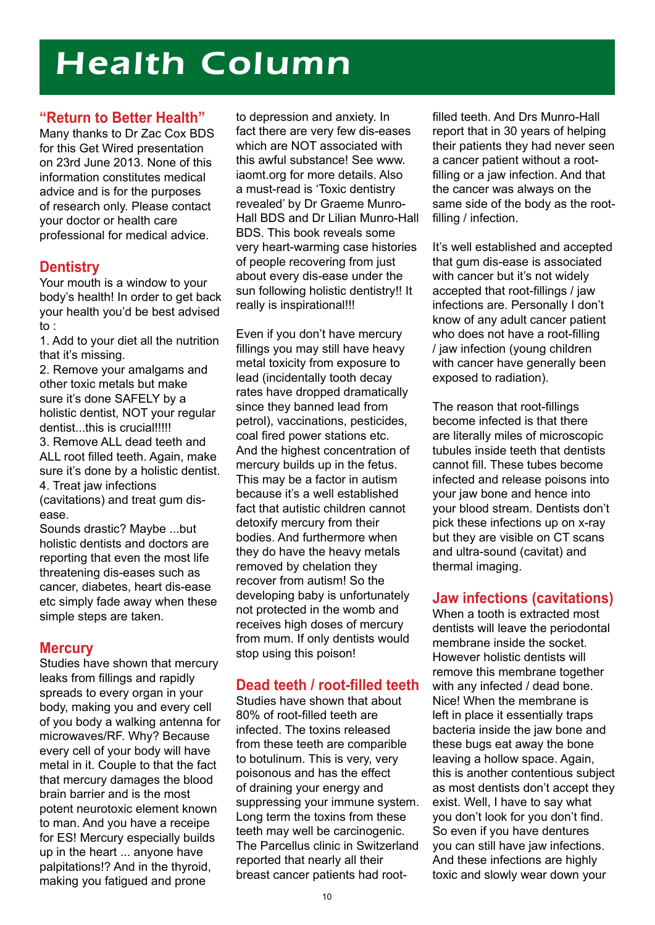# Health Column

## **"Return to Better Health"**

Many thanks to Dr Zac Cox BDS for this Get Wired presentation on 23rd June 2013. None of this information constitutes medical advice and is for the purposes of research only. Please contact your doctor or health care professional for medical advice.

# **Dentistry**

Your mouth is a window to your body's health! In order to get back your health you'd be best advised to :

1. Add to your diet all the nutrition that it's missing.

2. Remove your amalgams and other toxic metals but make sure it's done SAFELY by a holistic dentist, NOT your regular dentist...this is crucial!!!!! 3. Remove ALL dead teeth and ALL root filled teeth. Again, make sure it's done by a holistic dentist. 4. Treat jaw infections (cavitations) and treat gum disease.

Sounds drastic? Maybe ...but holistic dentists and doctors are reporting that even the most life threatening dis-eases such as cancer, diabetes, heart dis-ease etc simply fade away when these simple steps are taken.

# **Mercury**

Studies have shown that mercury leaks from fillings and rapidly spreads to every organ in your body, making you and every cell of you body a walking antenna for microwaves/RF. Why? Because every cell of your body will have metal in it. Couple to that the fact that mercury damages the blood brain barrier and is the most potent neurotoxic element known to man. And you have a receipe for ES! Mercury especially builds up in the heart ... anyone have palpitations!? And in the thyroid, making you fatigued and prone

to depression and anxiety. In fact there are very few dis-eases which are NOT associated with this awful substance! See www. iaomt.org for more details. Also a must-read is 'Toxic dentistry revealed' by Dr Graeme Munro-Hall BDS and Dr Lilian Munro-Hall BDS. This book reveals some very heart-warming case histories of people recovering from just about every dis-ease under the sun following holistic dentistry!! It really is inspirational!!!

Even if you don't have mercury fillings you may still have heavy metal toxicity from exposure to lead (incidentally tooth decay rates have dropped dramatically since they banned lead from petrol), vaccinations, pesticides, coal fired power stations etc. And the highest concentration of mercury builds up in the fetus. This may be a factor in autism because it's a well established fact that autistic children cannot detoxify mercury from their bodies. And furthermore when they do have the heavy metals removed by chelation they recover from autism! So the developing baby is unfortunately not protected in the womb and receives high doses of mercury from mum. If only dentists would stop using this poison!

# **Dead teeth / root-filled teeth**

Studies have shown that about 80% of root-filled teeth are infected. The toxins released from these teeth are comparible to botulinum. This is very, very poisonous and has the effect of draining your energy and suppressing your immune system. Long term the toxins from these teeth may well be carcinogenic. The Parcellus clinic in Switzerland reported that nearly all their breast cancer patients had root-

filled teeth. And Drs Munro-Hall report that in 30 years of helping their patients they had never seen a cancer patient without a rootfilling or a jaw infection. And that the cancer was always on the same side of the body as the rootfilling / infection.

It's well established and accepted that gum dis-ease is associated with cancer but it's not widely accepted that root-fillings / jaw infections are. Personally I don't know of any adult cancer patient who does not have a root-filling / jaw infection (young children with cancer have generally been exposed to radiation).

The reason that root-fillings become infected is that there are literally miles of microscopic tubules inside teeth that dentists cannot fill. These tubes become infected and release poisons into your jaw bone and hence into your blood stream. Dentists don't pick these infections up on x-ray but they are visible on CT scans and ultra-sound (cavitat) and thermal imaging.

# **Jaw infections (cavitations)**

When a tooth is extracted most dentists will leave the periodontal membrane inside the socket. However holistic dentists will remove this membrane together with any infected / dead bone. Nice! When the membrane is left in place it essentially traps bacteria inside the jaw bone and these bugs eat away the bone leaving a hollow space. Again, this is another contentious subject as most dentists don't accept they exist. Well, I have to say what you don't look for you don't find. So even if you have dentures you can still have jaw infections. And these infections are highly toxic and slowly wear down your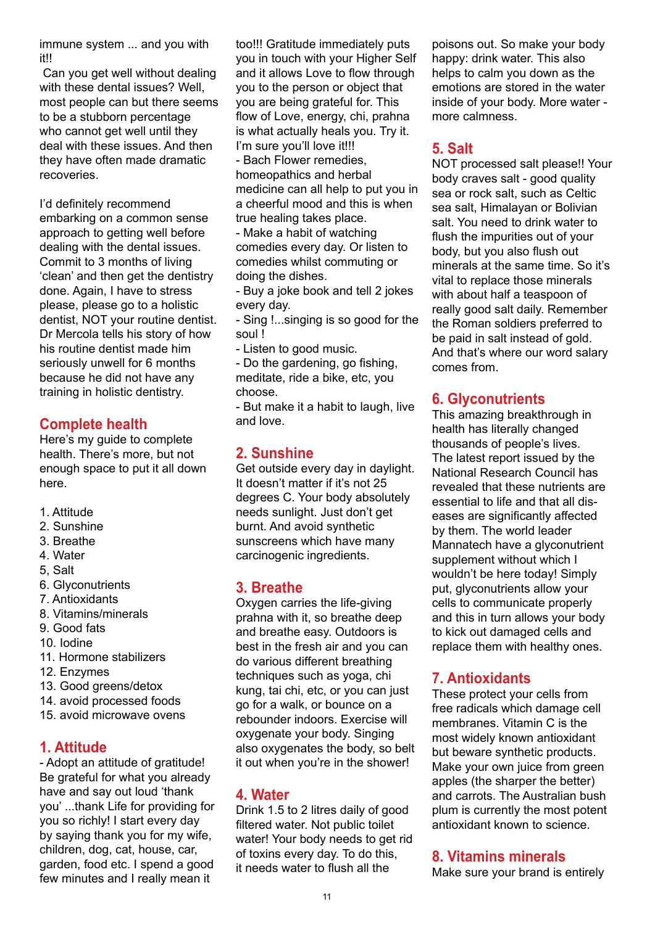immune system ... and you with it!!

 Can you get well without dealing with these dental issues? Well, most people can but there seems to be a stubborn percentage who cannot get well until they deal with these issues. And then they have often made dramatic recoveries.

I'd definitely recommend embarking on a common sense approach to getting well before dealing with the dental issues. Commit to 3 months of living 'clean' and then get the dentistry done. Again, I have to stress please, please go to a holistic dentist, NOT your routine dentist. Dr Mercola tells his story of how his routine dentist made him seriously unwell for 6 months because he did not have any training in holistic dentistry.

# **Complete health**

Here's my guide to complete health. There's more, but not enough space to put it all down here.

- 1. Attitude
- 2. Sunshine
- 3. Breathe
- 4. Water
- 5, Salt
- 6. Glyconutrients
- 7. Antioxidants
- 8. Vitamins/minerals
- 9. Good fats
- 10. Iodine
- 11. Hormone stabilizers
- 12. Enzymes
- 13. Good greens/detox
- 14. avoid processed foods
- 15. avoid microwave ovens

# **1. Attitude**

- Adopt an attitude of gratitude! Be grateful for what you already have and say out loud 'thank you' ...thank Life for providing for you so richly! I start every day by saying thank you for my wife, children, dog, cat, house, car, garden, food etc. I spend a good few minutes and I really mean it

too!!! Gratitude immediately puts you in touch with your Higher Self and it allows Love to flow through you to the person or object that you are being grateful for. This flow of Love, energy, chi, prahna is what actually heals you. Try it. I'm sure you'll love it!!!

- Bach Flower remedies, homeopathics and herbal medicine can all help to put you in a cheerful mood and this is when true healing takes place.

- Make a habit of watching comedies every day. Or listen to comedies whilst commuting or doing the dishes.

- Buy a joke book and tell 2 jokes every day.

- Sing !...singing is so good for the soul !

- Listen to good music.

- Do the gardening, go fishing, meditate, ride a bike, etc, you choose.

- But make it a habit to laugh, live and love.

# **2. Sunshine**

Get outside every day in daylight. It doesn't matter if it's not 25 degrees C. Your body absolutely needs sunlight. Just don't get burnt. And avoid synthetic sunscreens which have many carcinogenic ingredients.

# **3. Breathe**

Oxygen carries the life-giving prahna with it, so breathe deep and breathe easy. Outdoors is best in the fresh air and you can do various different breathing techniques such as yoga, chi kung, tai chi, etc, or you can just go for a walk, or bounce on a rebounder indoors. Exercise will oxygenate your body. Singing also oxygenates the body, so belt it out when you're in the shower!

# **4. Water**

Drink 1.5 to 2 litres daily of good filtered water. Not public toilet water! Your body needs to get rid of toxins every day. To do this, it needs water to flush all the

poisons out. So make your body happy: drink water. This also helps to calm you down as the emotions are stored in the water inside of your body. More water more calmness.

# **5. Salt**

NOT processed salt please!! Your body craves salt - good quality sea or rock salt, such as Celtic sea salt, Himalayan or Bolivian salt. You need to drink water to flush the impurities out of your body, but you also flush out minerals at the same time. So it's vital to replace those minerals with about half a teaspoon of really good salt daily. Remember the Roman soldiers preferred to be paid in salt instead of gold. And that's where our word salary comes from.

# **6. Glyconutrients**

This amazing breakthrough in health has literally changed thousands of people's lives. The latest report issued by the National Research Council has revealed that these nutrients are essential to life and that all diseases are significantly affected by them. The world leader Mannatech have a glyconutrient supplement without which I wouldn't be here today! Simply put, glyconutrients allow your cells to communicate properly and this in turn allows your body to kick out damaged cells and replace them with healthy ones.

# **7. Antioxidants**

These protect your cells from free radicals which damage cell membranes. Vitamin C is the most widely known antioxidant but beware synthetic products. Make your own juice from green apples (the sharper the better) and carrots. The Australian bush plum is currently the most potent antioxidant known to science.

# **8. Vitamins minerals**

Make sure your brand is entirely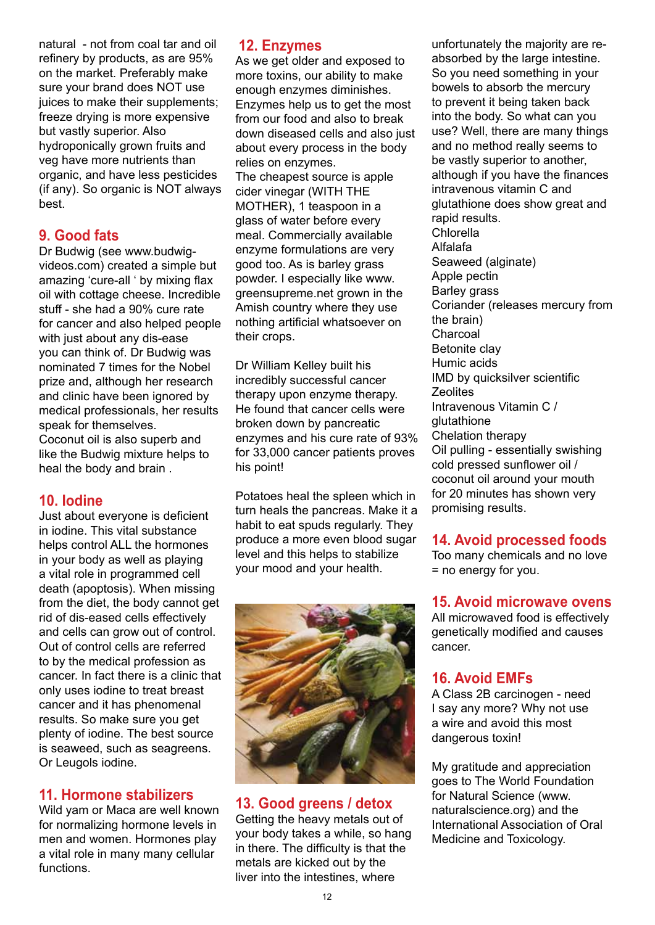natural - not from coal tar and oil refinery by products, as are 95% on the market. Preferably make sure your brand does NOT use juices to make their supplements; freeze drying is more expensive but vastly superior. Also hydroponically grown fruits and veg have more nutrients than organic, and have less pesticides (if any). So organic is NOT always best.

# **9. Good fats**

Dr Budwig (see www.budwigvideos.com) created a simple but amazing 'cure-all ' by mixing flax oil with cottage cheese. Incredible stuff - she had a 90% cure rate for cancer and also helped people with just about any dis-ease you can think of. Dr Budwig was nominated 7 times for the Nobel prize and, although her research and clinic have been ignored by medical professionals, her results speak for themselves. Coconut oil is also superb and like the Budwig mixture helps to heal the body and brain .

# **10. Iodine**

Just about everyone is deficient in iodine. This vital substance helps control ALL the hormones in your body as well as playing a vital role in programmed cell death (apoptosis). When missing from the diet, the body cannot get rid of dis-eased cells effectively and cells can grow out of control. Out of control cells are referred to by the medical profession as cancer. In fact there is a clinic that only uses iodine to treat breast cancer and it has phenomenal results. So make sure you get plenty of iodine. The best source is seaweed, such as seagreens. Or Leugols iodine.

# **11. Hormone stabilizers**

Wild yam or Maca are well known for normalizing hormone levels in men and women. Hormones play a vital role in many many cellular functions.

# **12. Enzymes**

As we get older and exposed to more toxins, our ability to make enough enzymes diminishes. Enzymes help us to get the most from our food and also to break down diseased cells and also just about every process in the body relies on enzymes. The cheapest source is apple cider vinegar (WITH THE MOTHER), 1 teaspoon in a glass of water before every meal. Commercially available enzyme formulations are very good too. As is barley grass powder. I especially like www. greensupreme.net grown in the Amish country where they use nothing artificial whatsoever on their crops.

Dr William Kelley built his incredibly successful cancer therapy upon enzyme therapy. He found that cancer cells were broken down by pancreatic enzymes and his cure rate of 93% for 33,000 cancer patients proves his point!

Potatoes heal the spleen which in turn heals the pancreas. Make it a habit to eat spuds regularly. They produce a more even blood sugar level and this helps to stabilize your mood and your health.



# **13. Good greens / detox**

Getting the heavy metals out of your body takes a while, so hang in there. The difficulty is that the metals are kicked out by the liver into the intestines, where

unfortunately the majority are reabsorbed by the large intestine. So you need something in your bowels to absorb the mercury to prevent it being taken back into the body. So what can you use? Well, there are many things and no method really seems to be vastly superior to another, although if you have the finances intravenous vitamin C and glutathione does show great and rapid results. Chlorella Alfalafa Seaweed (alginate) Apple pectin Barley grass Coriander (releases mercury from the brain) Charcoal Betonite clay Humic acids IMD by quicksilver scientific **Zeolites** Intravenous Vitamin C / glutathione Chelation therapy Oil pulling - essentially swishing cold pressed sunflower oil / coconut oil around your mouth for 20 minutes has shown very promising results.

# **14. Avoid processed foods**

Too many chemicals and no love = no energy for you.

# **15. Avoid microwave ovens**

All microwaved food is effectively genetically modified and causes cancer.

# **16. Avoid EMFs**

A Class 2B carcinogen - need I say any more? Why not use a wire and avoid this most dangerous toxin!

My gratitude and appreciation goes to The World Foundation for Natural Science (www. naturalscience.org) and the International Association of Oral Medicine and Toxicology.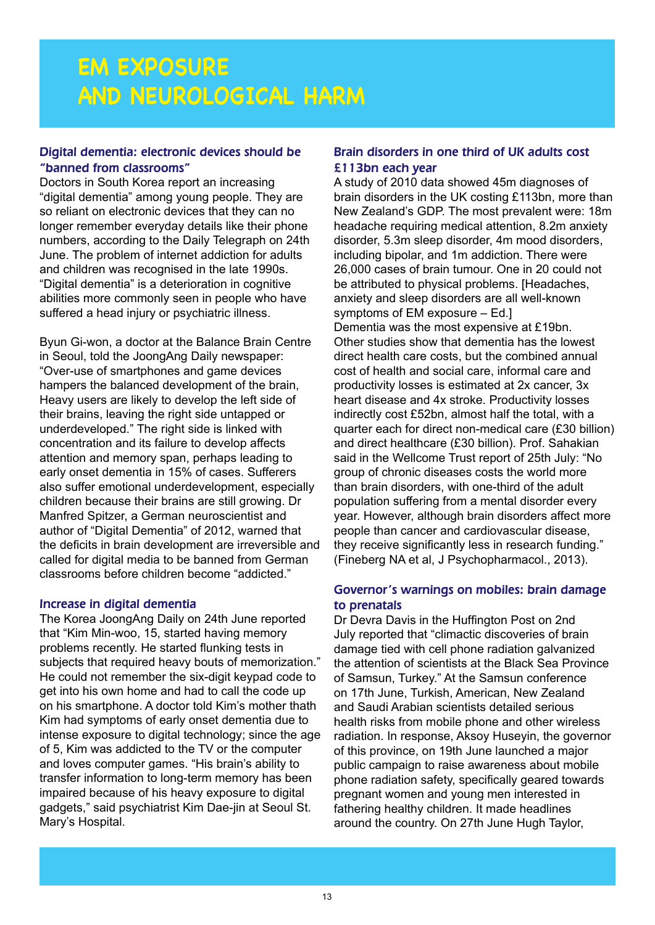# **EM EXPOSURE AND NEUROLOGICAL HARM**

#### Digital dementia: electronic devices should be "banned from classrooms"

Doctors in South Korea report an increasing "digital dementia" among young people. They are so reliant on electronic devices that they can no longer remember everyday details like their phone numbers, according to the Daily Telegraph on 24th June. The problem of internet addiction for adults and children was recognised in the late 1990s. "Digital dementia" is a deterioration in cognitive abilities more commonly seen in people who have suffered a head injury or psychiatric illness.

Byun Gi-won, a doctor at the Balance Brain Centre in Seoul, told the JoongAng Daily newspaper: "Over-use of smartphones and game devices hampers the balanced development of the brain, Heavy users are likely to develop the left side of their brains, leaving the right side untapped or underdeveloped." The right side is linked with concentration and its failure to develop affects attention and memory span, perhaps leading to early onset dementia in 15% of cases. Sufferers also suffer emotional underdevelopment, especially children because their brains are still growing. Dr Manfred Spitzer, a German neuroscientist and author of "Digital Dementia" of 2012, warned that the deficits in brain development are irreversible and called for digital media to be banned from German classrooms before children become "addicted."

#### Increase in digital dementia

The Korea JoongAng Daily on 24th June reported that "Kim Min-woo, 15, started having memory problems recently. He started flunking tests in subjects that required heavy bouts of memorization." He could not remember the six-digit keypad code to get into his own home and had to call the code up on his smartphone. A doctor told Kim's mother thath Kim had symptoms of early onset dementia due to intense exposure to digital technology; since the age of 5, Kim was addicted to the TV or the computer and loves computer games. "His brain's ability to transfer information to long-term memory has been impaired because of his heavy exposure to digital gadgets," said psychiatrist Kim Dae-jin at Seoul St. Mary's Hospital.

#### Brain disorders in one third of UK adults cost £113bn each year

A study of 2010 data showed 45m diagnoses of brain disorders in the UK costing £113bn, more than New Zealand's GDP. The most prevalent were: 18m headache requiring medical attention, 8.2m anxiety disorder, 5.3m sleep disorder, 4m mood disorders, including bipolar, and 1m addiction. There were 26,000 cases of brain tumour. One in 20 could not be attributed to physical problems. [Headaches, anxiety and sleep disorders are all well-known symptoms of EM exposure – Ed.]

Dementia was the most expensive at £19bn. Other studies show that dementia has the lowest direct health care costs, but the combined annual cost of health and social care, informal care and productivity losses is estimated at 2x cancer, 3x heart disease and 4x stroke. Productivity losses indirectly cost £52bn, almost half the total, with a quarter each for direct non-medical care (£30 billion) and direct healthcare (£30 billion). Prof. Sahakian said in the Wellcome Trust report of 25th July: "No group of chronic diseases costs the world more than brain disorders, with one-third of the adult population suffering from a mental disorder every year. However, although brain disorders affect more people than cancer and cardiovascular disease, they receive significantly less in research funding." (Fineberg NA et al, J Psychopharmacol., 2013).

#### Governor's warnings on mobiles: brain damage to prenatals

Dr Devra Davis in the Huffington Post on 2nd July reported that "climactic discoveries of brain damage tied with cell phone radiation galvanized the attention of scientists at the Black Sea Province of Samsun, Turkey." At the Samsun conference on 17th June, Turkish, American, New Zealand and Saudi Arabian scientists detailed serious health risks from mobile phone and other wireless radiation. In response, Aksoy Huseyin, the governor of this province, on 19th June launched a major public campaign to raise awareness about mobile phone radiation safety, specifically geared towards pregnant women and young men interested in fathering healthy children. It made headlines around the country. On 27th June Hugh Taylor,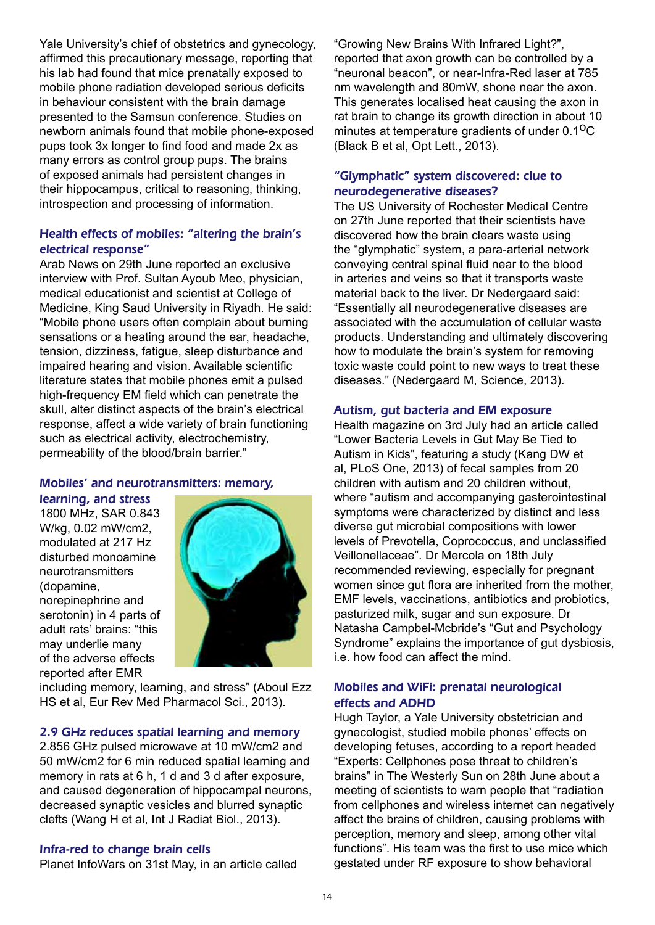Yale University's chief of obstetrics and gynecology, affirmed this precautionary message, reporting that his lab had found that mice prenatally exposed to mobile phone radiation developed serious deficits in behaviour consistent with the brain damage presented to the Samsun conference. Studies on newborn animals found that mobile phone-exposed pups took 3x longer to find food and made 2x as many errors as control group pups. The brains of exposed animals had persistent changes in their hippocampus, critical to reasoning, thinking, introspection and processing of information.

#### Health effects of mobiles: "altering the brain's electrical response"

Arab News on 29th June reported an exclusive interview with Prof. Sultan Ayoub Meo, physician, medical educationist and scientist at College of Medicine, King Saud University in Riyadh. He said: "Mobile phone users often complain about burning sensations or a heating around the ear, headache, tension, dizziness, fatigue, sleep disturbance and impaired hearing and vision. Available scientific literature states that mobile phones emit a pulsed high-frequency EM field which can penetrate the skull, alter distinct aspects of the brain's electrical response, affect a wide variety of brain functioning such as electrical activity, electrochemistry, permeability of the blood/brain barrier."

#### Mobiles' and neurotransmitters: memory,

learning, and stress 1800 MHz, SAR 0.843

W/kg, 0.02 mW/cm2, modulated at 217 Hz disturbed monoamine neurotransmitters (dopamine, norepinephrine and serotonin) in 4 parts of adult rats' brains: "this may underlie many of the adverse effects reported after EMR



including memory, learning, and stress" (Aboul Ezz HS et al, Eur Rev Med Pharmacol Sci., 2013).

#### 2.9 GHz reduces spatial learning and memory

2.856 GHz pulsed microwave at 10 mW/cm2 and 50 mW/cm2 for 6 min reduced spatial learning and memory in rats at 6 h, 1 d and 3 d after exposure, and caused degeneration of hippocampal neurons, decreased synaptic vesicles and blurred synaptic clefts (Wang H et al, Int J Radiat Biol., 2013).

#### Infra-red to change brain cells

Planet InfoWars on 31st May, in an article called

"Growing New Brains With Infrared Light?", reported that axon growth can be controlled by a "neuronal beacon", or near-Infra-Red laser at 785 nm wavelength and 80mW, shone near the axon. This generates localised heat causing the axon in rat brain to change its growth direction in about 10 minutes at temperature gradients of under  $0.1<sup>0</sup>C$ (Black B et al, Opt Lett., 2013).

#### "Glymphatic" system discovered: clue to neurodegenerative diseases?

The US University of Rochester Medical Centre on 27th June reported that their scientists have discovered how the brain clears waste using the "glymphatic" system, a para-arterial network conveying central spinal fluid near to the blood in arteries and veins so that it transports waste material back to the liver. Dr Nedergaard said: "Essentially all neurodegenerative diseases are associated with the accumulation of cellular waste products. Understanding and ultimately discovering how to modulate the brain's system for removing toxic waste could point to new ways to treat these diseases." (Nedergaard M, Science, 2013).

#### Autism, gut bacteria and EM exposure

Health magazine on 3rd July had an article called "Lower Bacteria Levels in Gut May Be Tied to Autism in Kids", featuring a study (Kang DW et al, PLoS One, 2013) of fecal samples from 20 children with autism and 20 children without, where "autism and accompanying gasterointestinal symptoms were characterized by distinct and less diverse gut microbial compositions with lower levels of Prevotella, Coprococcus, and unclassified Veillonellaceae". Dr Mercola on 18th July recommended reviewing, especially for pregnant women since gut flora are inherited from the mother, EMF levels, vaccinations, antibiotics and probiotics, pasturized milk, sugar and sun exposure. Dr Natasha Campbel-Mcbride's "Gut and Psychology Syndrome" explains the importance of gut dysbiosis, i.e. how food can affect the mind.

#### Mobiles and WiFi: prenatal neurological effects and ADHD

Hugh Taylor, a Yale University obstetrician and gynecologist, studied mobile phones' effects on developing fetuses, according to a report headed "Experts: Cellphones pose threat to children's brains" in The Westerly Sun on 28th June about a meeting of scientists to warn people that "radiation from cellphones and wireless internet can negatively affect the brains of children, causing problems with perception, memory and sleep, among other vital functions". His team was the first to use mice which gestated under RF exposure to show behavioral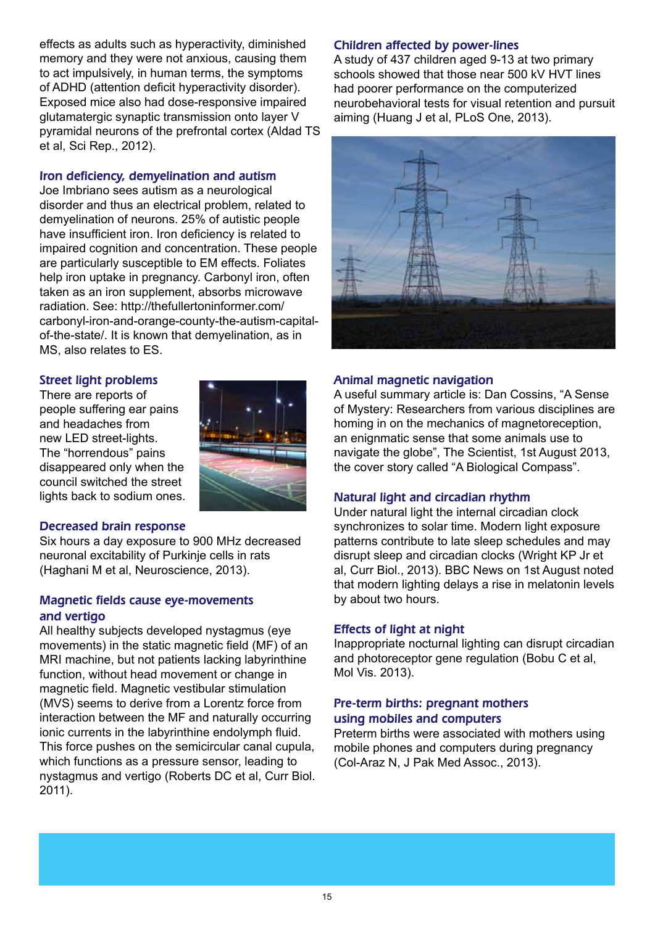effects as adults such as hyperactivity, diminished memory and they were not anxious, causing them to act impulsively, in human terms, the symptoms of ADHD (attention deficit hyperactivity disorder). Exposed mice also had dose-responsive impaired glutamatergic synaptic transmission onto layer V pyramidal neurons of the prefrontal cortex (Aldad TS et al, Sci Rep., 2012).

#### Iron deficiency, demyelination and autism

Joe Imbriano sees autism as a neurological disorder and thus an electrical problem, related to demyelination of neurons. 25% of autistic people have insufficient iron. Iron deficiency is related to impaired cognition and concentration. These people are particularly susceptible to EM effects. Foliates help iron uptake in pregnancy. Carbonyl iron, often taken as an iron supplement, absorbs microwave radiation. See: http://thefullertoninformer.com/ carbonyl-iron-and-orange-county-the-autism-capitalof-the-state/. It is known that demyelination, as in MS, also relates to ES.

#### Street light problems

There are reports of people suffering ear pains and headaches from new LED street-lights. The "horrendous" pains disappeared only when the council switched the street lights back to sodium ones.



#### Decreased brain response

Six hours a day exposure to 900 MHz decreased neuronal excitability of Purkinje cells in rats (Haghani M et al, Neuroscience, 2013).

#### Magnetic fields cause eye-movements and vertigo

All healthy subjects developed nystagmus (eye movements) in the static magnetic field (MF) of an MRI machine, but not patients lacking labyrinthine function, without head movement or change in magnetic field. Magnetic vestibular stimulation (MVS) seems to derive from a Lorentz force from interaction between the MF and naturally occurring ionic currents in the labyrinthine endolymph fluid. This force pushes on the semicircular canal cupula, which functions as a pressure sensor, leading to nystagmus and vertigo (Roberts DC et al, Curr Biol. 2011).

#### Children affected by power-lines

A study of 437 children aged 9-13 at two primary schools showed that those near 500 kV HVT lines had poorer performance on the computerized neurobehavioral tests for visual retention and pursuit aiming (Huang J et al, PLoS One, 2013).



#### Animal magnetic navigation

A useful summary article is: Dan Cossins, "A Sense of Mystery: Researchers from various disciplines are homing in on the mechanics of magnetoreception, an enignmatic sense that some animals use to navigate the globe", The Scientist, 1st August 2013, the cover story called "A Biological Compass".

#### Natural light and circadian rhythm

Under natural light the internal circadian clock synchronizes to solar time. Modern light exposure patterns contribute to late sleep schedules and may disrupt sleep and circadian clocks (Wright KP Jr et al, Curr Biol., 2013). BBC News on 1st August noted that modern lighting delays a rise in melatonin levels by about two hours.

#### Effects of light at night

Inappropriate nocturnal lighting can disrupt circadian and photoreceptor gene regulation (Bobu C et al, Mol Vis. 2013).

#### Pre-term births: pregnant mothers using mobiles and computers

Preterm births were associated with mothers using mobile phones and computers during pregnancy (Col-Araz N, J Pak Med Assoc., 2013).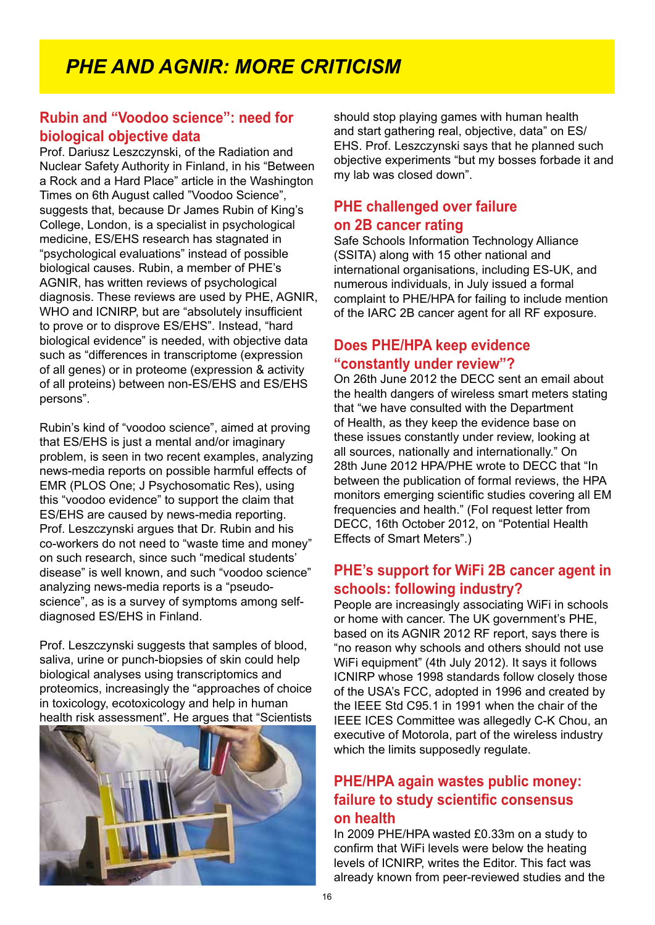# *PHE AND AGNIR: MORE CRITICISM*

# **Rubin and "Voodoo science": need for biological objective data**

Prof. Dariusz Leszczynski, of the Radiation and Nuclear Safety Authority in Finland, in his "Between a Rock and a Hard Place" article in the Washington Times on 6th August called "Voodoo Science", suggests that, because Dr James Rubin of King's College, London, is a specialist in psychological medicine, ES/EHS research has stagnated in "psychological evaluations" instead of possible biological causes. Rubin, a member of PHE's AGNIR, has written reviews of psychological diagnosis. These reviews are used by PHE, AGNIR, WHO and ICNIRP, but are "absolutely insufficient to prove or to disprove ES/EHS". Instead, "hard biological evidence" is needed, with objective data such as "differences in transcriptome (expression of all genes) or in proteome (expression & activity of all proteins) between non-ES/EHS and ES/EHS persons".

Rubin's kind of "voodoo science", aimed at proving that ES/EHS is just a mental and/or imaginary problem, is seen in two recent examples, analyzing news-media reports on possible harmful effects of EMR (PLOS One; J Psychosomatic Res), using this "voodoo evidence" to support the claim that ES/EHS are caused by news-media reporting. Prof. Leszczynski argues that Dr. Rubin and his co-workers do not need to "waste time and money" on such research, since such "medical students' disease" is well known, and such "voodoo science" analyzing news-media reports is a "pseudoscience", as is a survey of symptoms among selfdiagnosed ES/EHS in Finland.

Prof. Leszczynski suggests that samples of blood, saliva, urine or punch-biopsies of skin could help biological analyses using transcriptomics and proteomics, increasingly the "approaches of choice in toxicology, ecotoxicology and help in human health risk assessment". He argues that "Scientists



should stop playing games with human health and start gathering real, objective, data" on ES/ EHS. Prof. Leszczynski says that he planned such objective experiments "but my bosses forbade it and my lab was closed down".

# **PHE challenged over failure**

#### **on 2B cancer rating**

Safe Schools Information Technology Alliance (SSITA) along with 15 other national and international organisations, including ES-UK, and numerous individuals, in July issued a formal complaint to PHE/HPA for failing to include mention of the IARC 2B cancer agent for all RF exposure.

# **Does PHE/HPA keep evidence "constantly under review"?**

On 26th June 2012 the DECC sent an email about the health dangers of wireless smart meters stating that "we have consulted with the Department of Health, as they keep the evidence base on these issues constantly under review, looking at all sources, nationally and internationally." On 28th June 2012 HPA/PHE wrote to DECC that "In between the publication of formal reviews, the HPA monitors emerging scientific studies covering all EM frequencies and health." (FoI request letter from DECC, 16th October 2012, on "Potential Health Effects of Smart Meters".)

# **PHE's support for WiFi 2B cancer agent in schools: following industry?**

People are increasingly associating WiFi in schools or home with cancer. The UK government's PHE, based on its AGNIR 2012 RF report, says there is "no reason why schools and others should not use WiFi equipment" (4th July 2012). It says it follows ICNIRP whose 1998 standards follow closely those of the USA's FCC, adopted in 1996 and created by the IEEE Std C95.1 in 1991 when the chair of the IEEE ICES Committee was allegedly C-K Chou, an executive of Motorola, part of the wireless industry which the limits supposedly regulate.

# **PHE/HPA again wastes public money: failure to study scientific consensus on health**

In 2009 PHE/HPA wasted £0.33m on a study to confirm that WiFi levels were below the heating levels of ICNIRP, writes the Editor. This fact was already known from peer-reviewed studies and the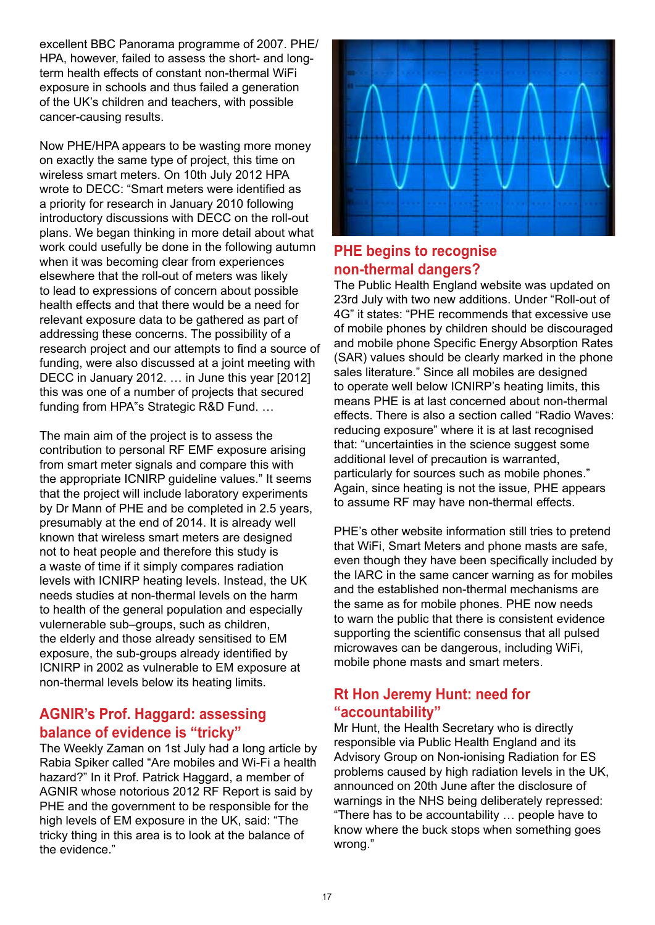excellent BBC Panorama programme of 2007. PHE/ HPA, however, failed to assess the short- and longterm health effects of constant non-thermal WiFi exposure in schools and thus failed a generation of the UK's children and teachers, with possible cancer-causing results.

Now PHE/HPA appears to be wasting more money on exactly the same type of project, this time on wireless smart meters. On 10th July 2012 HPA wrote to DECC: "Smart meters were identified as a priority for research in January 2010 following introductory discussions with DECC on the roll-out plans. We began thinking in more detail about what work could usefully be done in the following autumn when it was becoming clear from experiences elsewhere that the roll-out of meters was likely to lead to expressions of concern about possible health effects and that there would be a need for relevant exposure data to be gathered as part of addressing these concerns. The possibility of a research project and our attempts to find a source of funding, were also discussed at a joint meeting with DECC in January 2012. … in June this year [2012] this was one of a number of projects that secured funding from HPA"s Strategic R&D Fund. …

The main aim of the project is to assess the contribution to personal RF EMF exposure arising from smart meter signals and compare this with the appropriate ICNIRP guideline values." It seems that the project will include laboratory experiments by Dr Mann of PHE and be completed in 2.5 years, presumably at the end of 2014. It is already well known that wireless smart meters are designed not to heat people and therefore this study is a waste of time if it simply compares radiation levels with ICNIRP heating levels. Instead, the UK needs studies at non-thermal levels on the harm to health of the general population and especially vulernerable sub–groups, such as children, the elderly and those already sensitised to EM exposure, the sub-groups already identified by ICNIRP in 2002 as vulnerable to EM exposure at non-thermal levels below its heating limits.

# **AGNIR's Prof. Haggard: assessing balance of evidence is "tricky"**

The Weekly Zaman on 1st July had a long article by Rabia Spiker called "Are mobiles and Wi-Fi a health hazard?" In it Prof. Patrick Haggard, a member of AGNIR whose notorious 2012 RF Report is said by PHE and the government to be responsible for the high levels of EM exposure in the UK, said: "The tricky thing in this area is to look at the balance of the evidence."



# **PHE begins to recognise non-thermal dangers?**

The Public Health England website was updated on 23rd July with two new additions. Under "Roll-out of 4G" it states: "PHE recommends that excessive use of mobile phones by children should be discouraged and mobile phone Specific Energy Absorption Rates (SAR) values should be clearly marked in the phone sales literature." Since all mobiles are designed to operate well below ICNIRP's heating limits, this means PHE is at last concerned about non-thermal effects. There is also a section called "Radio Waves: reducing exposure" where it is at last recognised that: "uncertainties in the science suggest some additional level of precaution is warranted, particularly for sources such as mobile phones." Again, since heating is not the issue, PHE appears to assume RF may have non-thermal effects.

PHE's other website information still tries to pretend that WiFi, Smart Meters and phone masts are safe, even though they have been specifically included by the IARC in the same cancer warning as for mobiles and the established non-thermal mechanisms are the same as for mobile phones. PHE now needs to warn the public that there is consistent evidence supporting the scientific consensus that all pulsed microwaves can be dangerous, including WiFi, mobile phone masts and smart meters.

# **Rt Hon Jeremy Hunt: need for "accountability"**

Mr Hunt, the Health Secretary who is directly responsible via Public Health England and its Advisory Group on Non-ionising Radiation for ES problems caused by high radiation levels in the UK, announced on 20th June after the disclosure of warnings in the NHS being deliberately repressed: "There has to be accountability … people have to know where the buck stops when something goes wrong."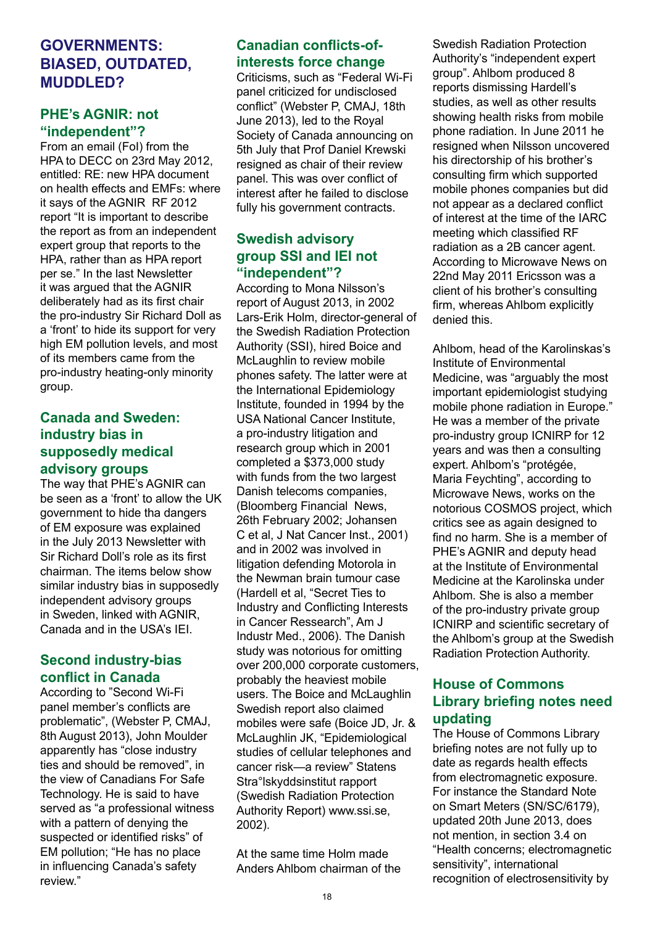# **GOVERNMENTS: BIASED, OUTDATED, MIJDDLED?**

# **PHE's AGNIR: not "independent"?**

From an email (FoI) from the HPA to DECC on 23rd May 2012, entitled: RE: new HPA document on health effects and EMFs: where it says of the AGNIR RF 2012 report "It is important to describe the report as from an independent expert group that reports to the HPA, rather than as HPA report per se." In the last Newsletter it was argued that the AGNIR deliberately had as its first chair the pro-industry Sir Richard Doll as a 'front' to hide its support for very high EM pollution levels, and most of its members came from the pro-industry heating-only minority group.

# **Canada and Sweden: industry bias in supposedly medical advisory groups**

The way that PHE's AGNIR can be seen as a 'front' to allow the UK government to hide tha dangers of EM exposure was explained in the July 2013 Newsletter with Sir Richard Doll's role as its first chairman. The items below show similar industry bias in supposedly independent advisory groups in Sweden, linked with AGNIR, Canada and in the USA's IEI.

# **Second industry-bias conflict in Canada**

According to "Second Wi-Fi panel member's conflicts are problematic", (Webster P, CMAJ, 8th August 2013), John Moulder apparently has "close industry ties and should be removed" in the view of Canadians For Safe Technology. He is said to have served as "a professional witness with a pattern of denying the suspected or identified risks" of EM pollution; "He has no place in influencing Canada's safety review."

# **Canadian conflicts-ofinterests force change**

Criticisms, such as "Federal Wi-Fi panel criticized for undisclosed conflict" (Webster P, CMAJ, 18th June 2013), led to the Royal Society of Canada announcing on 5th July that Prof Daniel Krewski resigned as chair of their review panel. This was over conflict of interest after he failed to disclose fully his government contracts.

# **Swedish advisory group SSI and IEI not "independent"?**

According to Mona Nilsson's report of August 2013, in 2002 Lars-Erik Holm, director-general of the Swedish Radiation Protection Authority (SSI), hired Boice and McLaughlin to review mobile phones safety. The latter were at the International Epidemiology Institute, founded in 1994 by the USA National Cancer Institute, a pro-industry litigation and research group which in 2001 completed a \$373,000 study with funds from the two largest Danish telecoms companies, (Bloomberg Financial News, 26th February 2002; Johansen C et al, J Nat Cancer Inst., 2001) and in 2002 was involved in litigation defending Motorola in the Newman brain tumour case (Hardell et al, "Secret Ties to Industry and Conflicting Interests in Cancer Ressearch", Am J Industr Med., 2006). The Danish study was notorious for omitting over 200,000 corporate customers, probably the heaviest mobile users. The Boice and McLaughlin Swedish report also claimed mobiles were safe (Boice JD, Jr. & McLaughlin JK, "Epidemiological studies of cellular telephones and cancer risk—a review" Statens Stra°lskyddsinstitut rapport (Swedish Radiation Protection Authority Report) www.ssi.se, 2002).

At the same time Holm made Anders Ahlbom chairman of the Swedish Radiation Protection Authority's "independent expert group". Ahlbom produced 8 reports dismissing Hardell's studies, as well as other results showing health risks from mobile phone radiation. In June 2011 he resigned when Nilsson uncovered his directorship of his brother's consulting firm which supported mobile phones companies but did not appear as a declared conflict of interest at the time of the IARC meeting which classified RF radiation as a 2B cancer agent. According to Microwave News on 22nd May 2011 Ericsson was a client of his brother's consulting firm, whereas Ahlbom explicitly denied this.

Ahlbom, head of the Karolinskas's Institute of Environmental Medicine, was "arguably the most important epidemiologist studying mobile phone radiation in Europe." He was a member of the private pro-industry group ICNIRP for 12 years and was then a consulting expert. Ahlbom's "protégée, Maria Feychting", according to Microwave News, works on the notorious COSMOS project, which critics see as again designed to find no harm. She is a member of PHE's AGNIR and deputy head at the Institute of Environmental Medicine at the Karolinska under Ahlbom. She is also a member of the pro-industry private group ICNIRP and scientific secretary of the Ahlbom's group at the Swedish Radiation Protection Authority.

# **House of Commons Library briefing notes need updating**

The House of Commons Library briefing notes are not fully up to date as regards health effects from electromagnetic exposure. For instance the Standard Note on Smart Meters (SN/SC/6179), updated 20th June 2013, does not mention, in section 3.4 on "Health concerns; electromagnetic sensitivity", international recognition of electrosensitivity by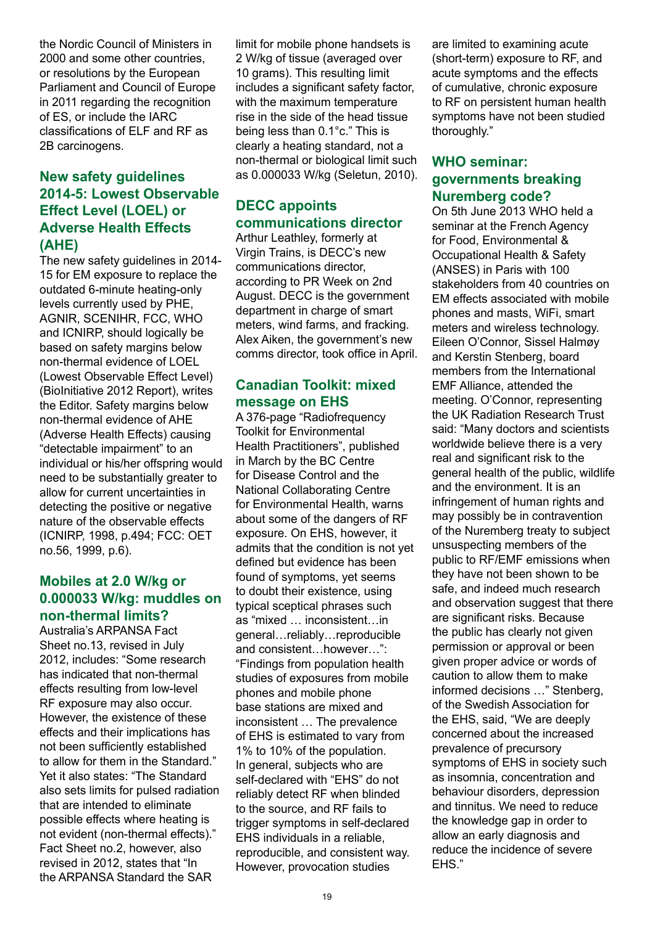the Nordic Council of Ministers in 2000 and some other countries, or resolutions by the European Parliament and Council of Europe in 2011 regarding the recognition of ES, or include the IARC classifications of ELF and RF as 2B carcinogens.

# **New safety guidelines 2014-5: Lowest Observable Effect Level (LOEL) or Adverse Health Effects (AHE)**

The new safety guidelines in 2014- 15 for EM exposure to replace the outdated 6-minute heating-only levels currently used by PHE, AGNIR, SCENIHR, FCC, WHO and ICNIRP, should logically be based on safety margins below non-thermal evidence of LOEL (Lowest Observable Effect Level) (BioInitiative 2012 Report), writes the Editor. Safety margins below non-thermal evidence of AHE (Adverse Health Effects) causing "detectable impairment" to an individual or his/her offspring would need to be substantially greater to allow for current uncertainties in detecting the positive or negative nature of the observable effects (ICNIRP, 1998, p.494; FCC: OET no.56, 1999, p.6).

## **Mobiles at 2.0 W/kg or 0.000033 W/kg: muddles on non-thermal limits?**

Australia's ARPANSA Fact Sheet no.13, revised in July 2012, includes: "Some research has indicated that non-thermal effects resulting from low-level RF exposure may also occur. However, the existence of these effects and their implications has not been sufficiently established to allow for them in the Standard." Yet it also states: "The Standard also sets limits for pulsed radiation that are intended to eliminate possible effects where heating is not evident (non-thermal effects)." Fact Sheet no.2, however, also revised in 2012, states that "In the ARPANSA Standard the SAR

limit for mobile phone handsets is 2 W/kg of tissue (averaged over 10 grams). This resulting limit includes a significant safety factor, with the maximum temperature rise in the side of the head tissue being less than 0.1°c." This is clearly a heating standard, not a non-thermal or biological limit such as 0.000033 W/kg (Seletun, 2010).

# **DECC appoints communications director**

Arthur Leathley, formerly at Virgin Trains, is DECC's new communications director, according to PR Week on 2nd August. DECC is the government department in charge of smart meters, wind farms, and fracking. Alex Aiken, the government's new comms director, took office in April.

# **Canadian Toolkit: mixed message on EHS**

A 376-page "Radiofrequency Toolkit for Environmental Health Practitioners", published in March by the BC Centre for Disease Control and the National Collaborating Centre for Environmental Health, warns about some of the dangers of RF exposure. On EHS, however, it admits that the condition is not yet defined but evidence has been found of symptoms, yet seems to doubt their existence, using typical sceptical phrases such as "mixed … inconsistent…in general…reliably…reproducible and consistent…however…": "Findings from population health studies of exposures from mobile phones and mobile phone base stations are mixed and inconsistent … The prevalence of EHS is estimated to vary from 1% to 10% of the population. In general, subjects who are self-declared with "EHS" do not reliably detect RF when blinded to the source, and RF fails to trigger symptoms in self-declared EHS individuals in a reliable, reproducible, and consistent way. However, provocation studies

are limited to examining acute (short-term) exposure to RF, and acute symptoms and the effects of cumulative, chronic exposure to RF on persistent human health symptoms have not been studied thoroughly."

# **WHO seminar: governments breaking Nuremberg code?**

On 5th June 2013 WHO held a seminar at the French Agency for Food, Environmental & Occupational Health & Safety (ANSES) in Paris with 100 stakeholders from 40 countries on EM effects associated with mobile phones and masts, WiFi, smart meters and wireless technology. Eileen O'Connor, Sissel Halmøy and Kerstin Stenberg, board members from the International EMF Alliance, attended the meeting. O'Connor, representing the UK Radiation Research Trust said: "Many doctors and scientists worldwide believe there is a very real and significant risk to the general health of the public, wildlife and the environment. It is an infringement of human rights and may possibly be in contravention of the Nuremberg treaty to subject unsuspecting members of the public to RF/EMF emissions when they have not been shown to be safe, and indeed much research and observation suggest that there are significant risks. Because the public has clearly not given permission or approval or been given proper advice or words of caution to allow them to make informed decisions …" Stenberg, of the Swedish Association for the EHS, said, "We are deeply concerned about the increased prevalence of precursory symptoms of EHS in society such as insomnia, concentration and behaviour disorders, depression and tinnitus. We need to reduce the knowledge gap in order to allow an early diagnosis and reduce the incidence of severe FHS"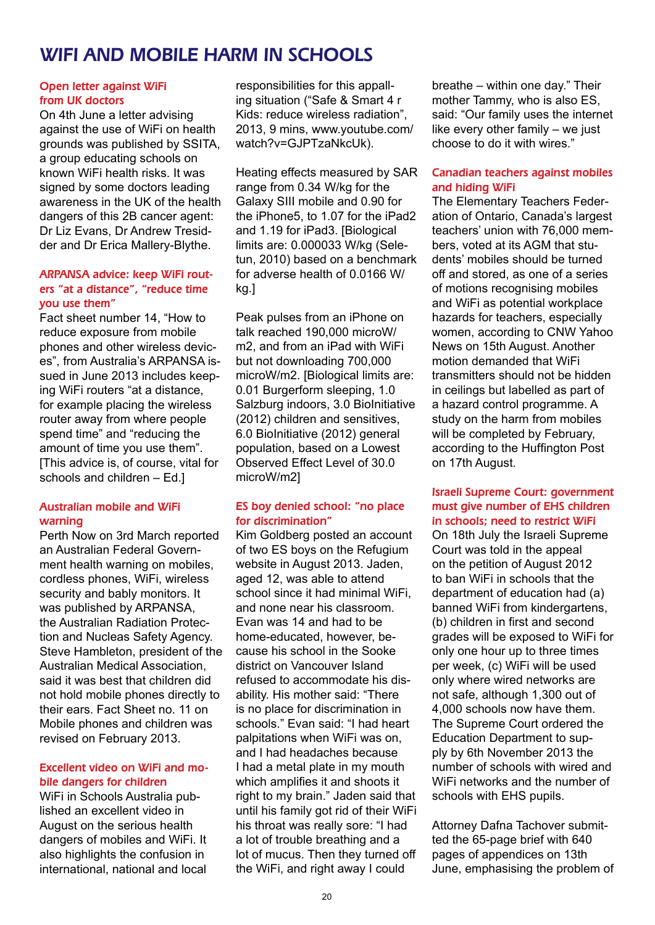# WIFI AND MOBILE HARM IN SCHOOLS

#### Open letter against WiFi from UK doctors

On 4th June a letter advising against the use of WiFi on health grounds was published by SSITA, a group educating schools on known WiFi health risks. It was signed by some doctors leading awareness in the UK of the health dangers of this 2B cancer agent: Dr Liz Evans, Dr Andrew Tresidder and Dr Erica Mallery-Blythe.

#### ARPANSA advice: keep WiFi routers "at a distance", "reduce time you use them"

Fact sheet number 14, "How to reduce exposure from mobile phones and other wireless devices", from Australia's ARPANSA issued in June 2013 includes keeping WiFi routers "at a distance, for example placing the wireless router away from where people spend time" and "reducing the amount of time you use them". [This advice is, of course, vital for schools and children – Ed.]

#### Australian mobile and WiFi warning

Perth Now on 3rd March reported an Australian Federal Government health warning on mobiles, cordless phones, WiFi, wireless security and bably monitors. It was published by ARPANSA, the Australian Radiation Protection and Nucleas Safety Agency. Steve Hambleton, president of the Australian Medical Association, said it was best that children did not hold mobile phones directly to their ears. Fact Sheet no. 11 on Mobile phones and children was revised on February 2013.

#### Excellent video on WiFi and mobile dangers for children

WiFi in Schools Australia published an excellent video in August on the serious health dangers of mobiles and WiFi. It also highlights the confusion in international, national and local

responsibilities for this appalling situation ("Safe & Smart 4 r Kids: reduce wireless radiation", 2013, 9 mins, www.youtube.com/ watch?v=GJPTzaNkcUk).

Heating effects measured by SAR range from 0.34 W/kg for the Galaxy SIII mobile and 0.90 for the iPhone5, to 1.07 for the iPad2 and 1.19 for iPad3. [Biological limits are: 0.000033 W/kg (Seletun, 2010) based on a benchmark for adverse health of 0.0166 W/ kg.]

Peak pulses from an iPhone on talk reached 190,000 microW/ m2, and from an iPad with WiFi but not downloading 700,000 microW/m2. [Biological limits are: 0.01 Burgerform sleeping, 1.0 Salzburg indoors, 3.0 BioInitiative (2012) children and sensitives, 6.0 BioInitiative (2012) general population, based on a Lowest Observed Effect Level of 30.0 microW/m2]

#### ES boy denied school: "no place for discrimination"

Kim Goldberg posted an account of two ES boys on the Refugium website in August 2013. Jaden, aged 12, was able to attend school since it had minimal WiFi. and none near his classroom. Evan was 14 and had to be home-educated, however, because his school in the Sooke district on Vancouver Island refused to accommodate his disability. His mother said: "There is no place for discrimination in schools." Evan said: "I had heart palpitations when WiFi was on, and I had headaches because I had a metal plate in my mouth which amplifies it and shoots it right to my brain." Jaden said that until his family got rid of their WiFi his throat was really sore: "I had a lot of trouble breathing and a lot of mucus. Then they turned off the WiFi, and right away I could

breathe – within one day." Their mother Tammy, who is also ES, said: "Our family uses the internet like every other family – we just choose to do it with wires."

#### Canadian teachers against mobiles and hiding WiFi

The Elementary Teachers Federation of Ontario, Canada's largest teachers' union with 76,000 members, voted at its AGM that students' mobiles should be turned off and stored, as one of a series of motions recognising mobiles and WiFi as potential workplace hazards for teachers, especially women, according to CNW Yahoo News on 15th August. Another motion demanded that WiFi transmitters should not be hidden in ceilings but labelled as part of a hazard control programme. A study on the harm from mobiles will be completed by February, according to the Huffington Post on 17th August.

#### Israeli Supreme Court: government must give number of EHS children in schools; need to restrict WiFi

On 18th July the Israeli Supreme Court was told in the appeal on the petition of August 2012 to ban WiFi in schools that the department of education had (a) banned WiFi from kindergartens, (b) children in first and second grades will be exposed to WiFi for only one hour up to three times per week, (c) WiFi will be used only where wired networks are not safe, although 1,300 out of 4,000 schools now have them. The Supreme Court ordered the Education Department to supply by 6th November 2013 the number of schools with wired and WiFi networks and the number of schools with EHS pupils.

Attorney Dafna Tachover submitted the 65-page brief with 640 pages of appendices on 13th June, emphasising the problem of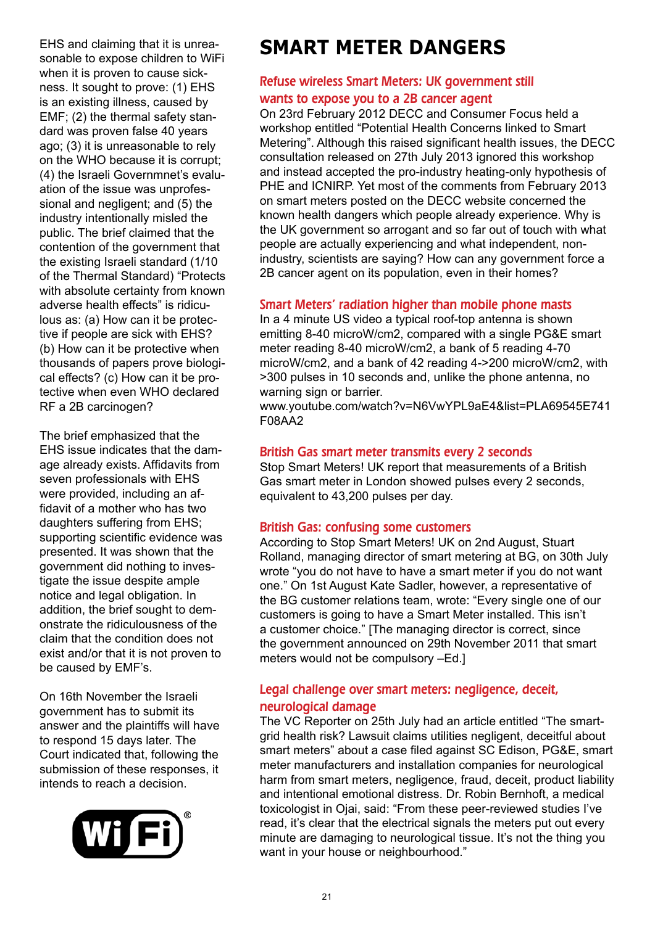EHS and claiming that it is unreasonable to expose children to WiFi when it is proven to cause sickness. It sought to prove: (1) EHS is an existing illness, caused by EMF; (2) the thermal safety standard was proven false 40 years ago; (3) it is unreasonable to rely on the WHO because it is corrupt; (4) the Israeli Governmnet's evaluation of the issue was unprofessional and negligent; and (5) the industry intentionally misled the public. The brief claimed that the contention of the government that the existing Israeli standard (1/10 of the Thermal Standard) "Protects with absolute certainty from known adverse health effects" is ridiculous as: (a) How can it be protective if people are sick with EHS? (b) How can it be protective when thousands of papers prove biological effects? (c) How can it be protective when even WHO declared RF a 2B carcinogen?

The brief emphasized that the EHS issue indicates that the damage already exists. Affidavits from seven professionals with EHS were provided, including an affidavit of a mother who has two daughters suffering from EHS; supporting scientific evidence was presented. It was shown that the government did nothing to investigate the issue despite ample notice and legal obligation. In addition, the brief sought to demonstrate the ridiculousness of the claim that the condition does not exist and/or that it is not proven to be caused by EMF's.

On 16th November the Israeli government has to submit its answer and the plaintiffs will have to respond 15 days later. The Court indicated that, following the submission of these responses, it intends to reach a decision.



# **SMART METER DANGERS**

#### Refuse wireless Smart Meters: UK government still wants to expose you to a 2B cancer agent

On 23rd February 2012 DECC and Consumer Focus held a workshop entitled "Potential Health Concerns linked to Smart Metering". Although this raised significant health issues, the DECC consultation released on 27th July 2013 ignored this workshop and instead accepted the pro-industry heating-only hypothesis of PHE and ICNIRP. Yet most of the comments from February 2013 on smart meters posted on the DECC website concerned the known health dangers which people already experience. Why is the UK government so arrogant and so far out of touch with what people are actually experiencing and what independent, nonindustry, scientists are saying? How can any government force a 2B cancer agent on its population, even in their homes?

#### Smart Meters' radiation higher than mobile phone masts

In a 4 minute US video a typical roof-top antenna is shown emitting 8-40 microW/cm2, compared with a single PG&E smart meter reading 8-40 microW/cm2, a bank of 5 reading 4-70 microW/cm2, and a bank of 42 reading 4->200 microW/cm2, with >300 pulses in 10 seconds and, unlike the phone antenna, no warning sign or barrier.

www.youtube.com/watch?v=N6VwYPL9aE4&list=PLA69545E741 F08AA2

## British Gas smart meter transmits every 2 seconds

Stop Smart Meters! UK report that measurements of a British Gas smart meter in London showed pulses every 2 seconds, equivalent to 43,200 pulses per day.

#### British Gas: confusing some customers

According to Stop Smart Meters! UK on 2nd August, Stuart Rolland, managing director of smart metering at BG, on 30th July wrote "you do not have to have a smart meter if you do not want one." On 1st August Kate Sadler, however, a representative of the BG customer relations team, wrote: "Every single one of our customers is going to have a Smart Meter installed. This isn't a customer choice." [The managing director is correct, since the government announced on 29th November 2011 that smart meters would not be compulsory –Ed.]

#### Legal challenge over smart meters: negligence, deceit, neurological damage

The VC Reporter on 25th July had an article entitled "The smartgrid health risk? Lawsuit claims utilities negligent, deceitful about smart meters" about a case filed against SC Edison, PG&E, smart meter manufacturers and installation companies for neurological harm from smart meters, negligence, fraud, deceit, product liability and intentional emotional distress. Dr. Robin Bernhoft, a medical toxicologist in Ojai, said: "From these peer-reviewed studies I've read, it's clear that the electrical signals the meters put out every minute are damaging to neurological tissue. It's not the thing you want in your house or neighbourhood."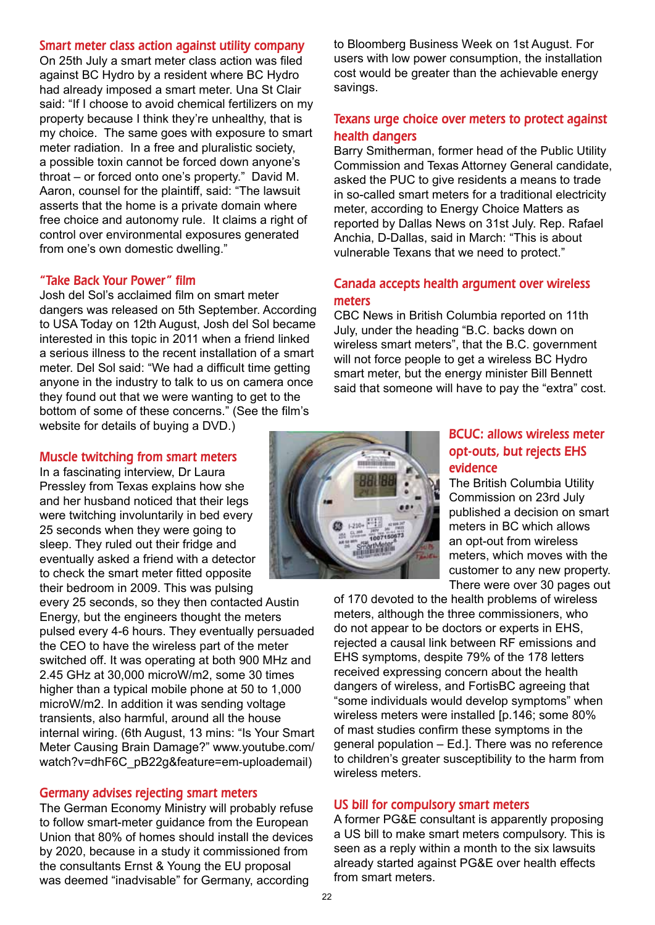#### Smart meter class action against utility company

On 25th July a smart meter class action was filed against BC Hydro by a resident where BC Hydro had already imposed a smart meter. Una St Clair said: "If I choose to avoid chemical fertilizers on my property because I think they're unhealthy, that is my choice. The same goes with exposure to smart meter radiation. In a free and pluralistic society, a possible toxin cannot be forced down anyone's throat – or forced onto one's property." David M. Aaron, counsel for the plaintiff, said: "The lawsuit asserts that the home is a private domain where free choice and autonomy rule. It claims a right of control over environmental exposures generated from one's own domestic dwelling."

#### "Take Back Your Power" film

Josh del Sol's acclaimed film on smart meter dangers was released on 5th September. According to USA Today on 12th August, Josh del Sol became interested in this topic in 2011 when a friend linked a serious illness to the recent installation of a smart meter. Del Sol said: "We had a difficult time getting anyone in the industry to talk to us on camera once they found out that we were wanting to get to the bottom of some of these concerns." (See the film's website for details of buying a DVD.)

#### Muscle twitching from smart meters

In a fascinating interview, Dr Laura Pressley from Texas explains how she and her husband noticed that their legs were twitching involuntarily in bed every 25 seconds when they were going to sleep. They ruled out their fridge and eventually asked a friend with a detector to check the smart meter fitted opposite their bedroom in 2009. This was pulsing

every 25 seconds, so they then contacted Austin Energy, but the engineers thought the meters pulsed every 4-6 hours. They eventually persuaded the CEO to have the wireless part of the meter switched off. It was operating at both 900 MHz and 2.45 GHz at 30,000 microW/m2, some 30 times higher than a typical mobile phone at 50 to 1,000 microW/m2. In addition it was sending voltage transients, also harmful, around all the house internal wiring. (6th August, 13 mins: "Is Your Smart Meter Causing Brain Damage?" www.youtube.com/ watch?v=dhF6C\_pB22g&feature=em-uploademail)

#### Germany advises rejecting smart meters

The German Economy Ministry will probably refuse to follow smart-meter guidance from the European Union that 80% of homes should install the devices by 2020, because in a study it commissioned from the consultants Ernst & Young the EU proposal was deemed "inadvisable" for Germany, according

savings.

#### BCUC: allows wireless meter opt-outs, but rejects EHS evidence

The British Columbia Utility Commission on 23rd July published a decision on smart meters in BC which allows an opt-out from wireless meters, which moves with the customer to any new property. There were over 30 pages out

of 170 devoted to the health problems of wireless meters, although the three commissioners, who do not appear to be doctors or experts in EHS, rejected a causal link between RF emissions and EHS symptoms, despite 79% of the 178 letters received expressing concern about the health dangers of wireless, and FortisBC agreeing that "some individuals would develop symptoms" when wireless meters were installed [p.146; some 80% of mast studies confirm these symptoms in the general population – Ed.]. There was no reference to children's greater susceptibility to the harm from wireless meters.

#### US bill for compulsory smart meters

A former PG&E consultant is apparently proposing a US bill to make smart meters compulsory. This is seen as a reply within a month to the six lawsuits already started against PG&E over health effects from smart meters.



# Texans urge choice over meters to protect against health dangers

to Bloomberg Business Week on 1st August. For users with low power consumption, the installation cost would be greater than the achievable energy

Barry Smitherman, former head of the Public Utility Commission and Texas Attorney General candidate, asked the PUC to give residents a means to trade in so-called smart meters for a traditional electricity meter, according to Energy Choice Matters as reported by Dallas News on 31st July. Rep. Rafael Anchia, D-Dallas, said in March: "This is about vulnerable Texans that we need to protect."

# Canada accepts health argument over wireless meters

CBC News in British Columbia reported on 11th July, under the heading "B.C. backs down on wireless smart meters", that the B.C. government will not force people to get a wireless BC Hydro smart meter, but the energy minister Bill Bennett said that someone will have to pay the "extra" cost.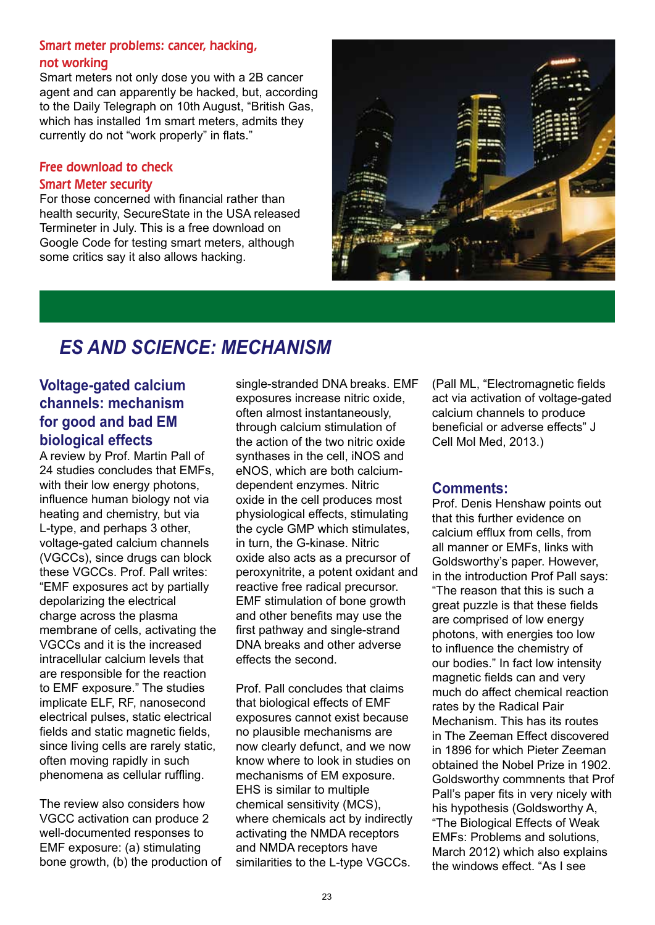#### Smart meter problems: cancer, hacking, not working

Smart meters not only dose you with a 2B cancer agent and can apparently be hacked, but, according to the Daily Telegraph on 10th August, "British Gas, which has installed 1m smart meters, admits they currently do not "work properly" in flats."

# Free download to check

# Smart Meter security

For those concerned with financial rather than health security, SecureState in the USA released Termineter in July. This is a free download on Google Code for testing smart meters, although some critics say it also allows hacking.



# *ES AND SCIENCE: MECHANISM*

# **Voltage-gated calcium channels: mechanism for good and bad EM biological effects**

A review by Prof. Martin Pall of 24 studies concludes that EMFs, with their low energy photons, influence human biology not via heating and chemistry, but via L-type, and perhaps 3 other, voltage-gated calcium channels (VGCCs), since drugs can block these VGCCs. Prof. Pall writes: "EMF exposures act by partially depolarizing the electrical charge across the plasma membrane of cells, activating the VGCCs and it is the increased intracellular calcium levels that are responsible for the reaction to EMF exposure." The studies implicate ELF, RF, nanosecond electrical pulses, static electrical fields and static magnetic fields, since living cells are rarely static, often moving rapidly in such phenomena as cellular ruffling.

The review also considers how VGCC activation can produce 2 well-documented responses to EMF exposure: (a) stimulating bone growth, (b) the production of single-stranded DNA breaks. EMF exposures increase nitric oxide, often almost instantaneously, through calcium stimulation of the action of the two nitric oxide synthases in the cell, iNOS and eNOS, which are both calciumdependent enzymes. Nitric oxide in the cell produces most physiological effects, stimulating the cycle GMP which stimulates, in turn, the G-kinase. Nitric oxide also acts as a precursor of peroxynitrite, a potent oxidant and reactive free radical precursor. EMF stimulation of bone growth and other benefits may use the first pathway and single-strand DNA breaks and other adverse effects the second.

Prof. Pall concludes that claims that biological effects of EMF exposures cannot exist because no plausible mechanisms are now clearly defunct, and we now know where to look in studies on mechanisms of EM exposure. EHS is similar to multiple chemical sensitivity (MCS), where chemicals act by indirectly activating the NMDA receptors and NMDA receptors have similarities to the L-type VGCCs.

(Pall ML, "Electromagnetic fields act via activation of voltage-gated calcium channels to produce beneficial or adverse effects" J Cell Mol Med, 2013.)

# **Comments:**

Prof. Denis Henshaw points out that this further evidence on calcium efflux from cells, from all manner or EMFs, links with Goldsworthy's paper. However, in the introduction Prof Pall says: "The reason that this is such a great puzzle is that these fields are comprised of low energy photons, with energies too low to influence the chemistry of our bodies." In fact low intensity magnetic fields can and very much do affect chemical reaction rates by the Radical Pair Mechanism. This has its routes in The Zeeman Effect discovered in 1896 for which Pieter Zeeman obtained the Nobel Prize in 1902. Goldsworthy commnents that Prof Pall's paper fits in very nicely with his hypothesis (Goldsworthy A, "The Biological Effects of Weak EMFs: Problems and solutions, March 2012) which also explains the windows effect. "As I see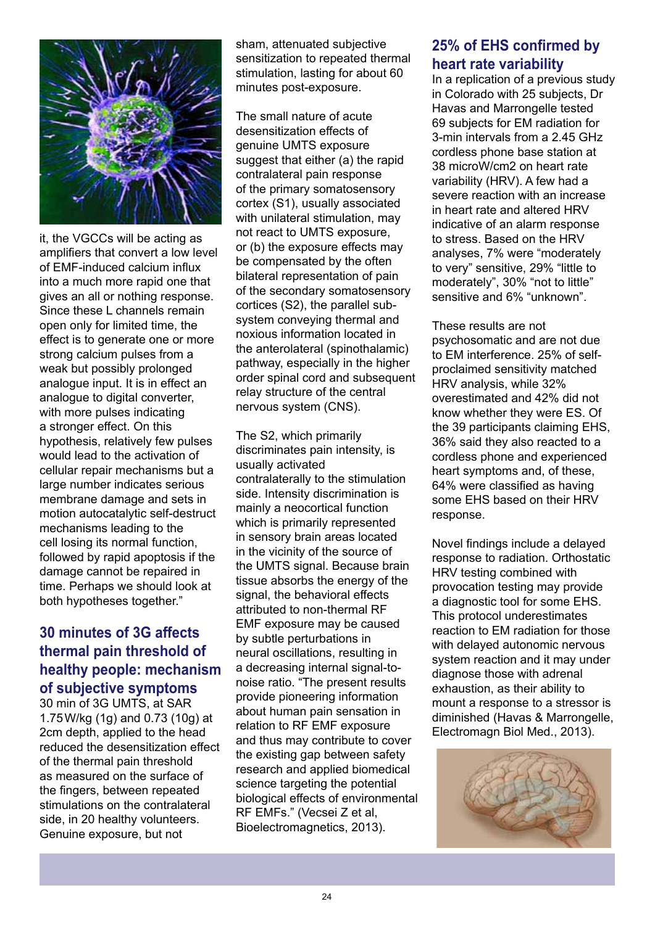

it, the VGCCs will be acting as amplifiers that convert a low level of EMF-induced calcium influx into a much more rapid one that gives an all or nothing response. Since these L channels remain open only for limited time, the effect is to generate one or more strong calcium pulses from a weak but possibly prolonged analogue input. It is in effect an analogue to digital converter, with more pulses indicating a stronger effect. On this hypothesis, relatively few pulses would lead to the activation of cellular repair mechanisms but a large number indicates serious membrane damage and sets in motion autocatalytic self-destruct mechanisms leading to the cell losing its normal function, followed by rapid apoptosis if the damage cannot be repaired in time. Perhaps we should look at both hypotheses together."

# **30 minutes of 3G affects thermal pain threshold of healthy people: mechanism of subjective symptoms**

30 min of 3G UMTS, at SAR 1.75W/kg (1g) and 0.73 (10g) at 2cm depth, applied to the head reduced the desensitization effect of the thermal pain threshold as measured on the surface of the fingers, between repeated stimulations on the contralateral side, in 20 healthy volunteers. Genuine exposure, but not

sham, attenuated subjective sensitization to repeated thermal stimulation, lasting for about 60 minutes post-exposure.

The small nature of acute desensitization effects of genuine UMTS exposure suggest that either (a) the rapid contralateral pain response of the primary somatosensory cortex (S1), usually associated with unilateral stimulation, may not react to UMTS exposure, or (b) the exposure effects may be compensated by the often bilateral representation of pain of the secondary somatosensory cortices (S2), the parallel subsystem conveying thermal and noxious information located in the anterolateral (spinothalamic) pathway, especially in the higher order spinal cord and subsequent relay structure of the central nervous system (CNS).

The S2, which primarily discriminates pain intensity, is usually activated contralaterally to the stimulation side. Intensity discrimination is mainly a neocortical function which is primarily represented in sensory brain areas located in the vicinity of the source of the UMTS signal. Because brain tissue absorbs the energy of the signal, the behavioral effects attributed to non-thermal RF EMF exposure may be caused by subtle perturbations in neural oscillations, resulting in a decreasing internal signal-tonoise ratio. "The present results provide pioneering information about human pain sensation in relation to RF EMF exposure and thus may contribute to cover the existing gap between safety research and applied biomedical science targeting the potential biological effects of environmental RF EMFs." (Vecsei Z et al, Bioelectromagnetics, 2013).

# **25% of EHS confirmed by heart rate variability**

In a replication of a previous study in Colorado with 25 subjects, Dr Havas and Marrongelle tested 69 subjects for EM radiation for 3-min intervals from a 2.45 GHz cordless phone base station at 38 microW/cm2 on heart rate variability (HRV). A few had a severe reaction with an increase in heart rate and altered HRV indicative of an alarm response to stress. Based on the HRV analyses, 7% were "moderately to very" sensitive, 29% "little to moderately", 30% "not to little" sensitive and 6% "unknown".

These results are not psychosomatic and are not due to EM interference. 25% of selfproclaimed sensitivity matched HRV analysis, while 32% overestimated and 42% did not know whether they were ES. Of the 39 participants claiming EHS, 36% said they also reacted to a cordless phone and experienced heart symptoms and, of these, 64% were classified as having some EHS based on their HRV response.

Novel findings include a delayed response to radiation. Orthostatic HRV testing combined with provocation testing may provide a diagnostic tool for some EHS. This protocol underestimates reaction to EM radiation for those with delayed autonomic nervous system reaction and it may under diagnose those with adrenal exhaustion, as their ability to mount a response to a stressor is diminished (Havas & Marrongelle, Electromagn Biol Med., 2013).

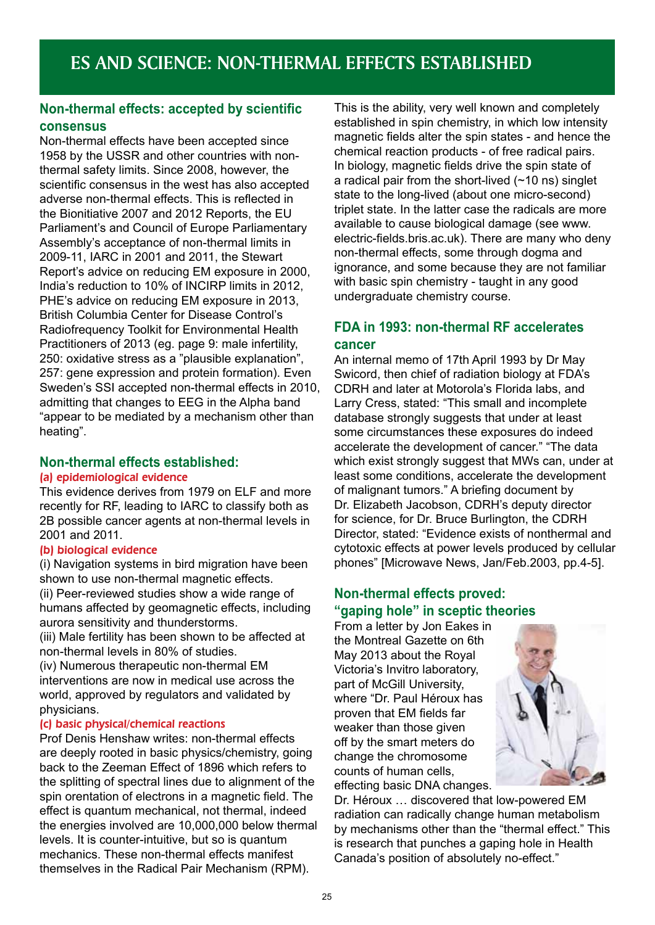# **Non-thermal effects: accepted by scientific consensus**

Non-thermal effects have been accepted since 1958 by the USSR and other countries with nonthermal safety limits. Since 2008, however, the scientific consensus in the west has also accepted adverse non-thermal effects. This is reflected in the Bionitiative 2007 and 2012 Reports, the EU Parliament's and Council of Europe Parliamentary Assembly's acceptance of non-thermal limits in 2009-11, IARC in 2001 and 2011, the Stewart Report's advice on reducing EM exposure in 2000, India's reduction to 10% of INCIRP limits in 2012, PHE's advice on reducing EM exposure in 2013, British Columbia Center for Disease Control's Radiofrequency Toolkit for Environmental Health Practitioners of 2013 (eg. page 9: male infertility, 250: oxidative stress as a "plausible explanation", 257: gene expression and protein formation). Even Sweden's SSI accepted non-thermal effects in 2010, admitting that changes to EEG in the Alpha band "appear to be mediated by a mechanism other than heating".

# **Non-thermal effects established:**

#### (a) epidemiological evidence

This evidence derives from 1979 on ELF and more recently for RF, leading to IARC to classify both as 2B possible cancer agents at non-thermal levels in 2001 and 2011.

#### (b) biological evidence

(i) Navigation systems in bird migration have been shown to use non-thermal magnetic effects. (ii) Peer-reviewed studies show a wide range of humans affected by geomagnetic effects, including aurora sensitivity and thunderstorms.

(iii) Male fertility has been shown to be affected at non-thermal levels in 80% of studies.

(iv) Numerous therapeutic non-thermal EM interventions are now in medical use across the world, approved by regulators and validated by physicians.

#### (c) basic physical/chemical reactions

Prof Denis Henshaw writes: non-thermal effects are deeply rooted in basic physics/chemistry, going back to the Zeeman Effect of 1896 which refers to the splitting of spectral lines due to alignment of the spin orentation of electrons in a magnetic field. The effect is quantum mechanical, not thermal, indeed the energies involved are 10,000,000 below thermal levels. It is counter-intuitive, but so is quantum mechanics. These non-thermal effects manifest themselves in the Radical Pair Mechanism (RPM).

This is the ability, very well known and completely established in spin chemistry, in which low intensity magnetic fields alter the spin states - and hence the chemical reaction products - of free radical pairs. In biology, magnetic fields drive the spin state of a radical pair from the short-lived  $(-10 \text{ ns})$  singlet state to the long-lived (about one micro-second) triplet state. In the latter case the radicals are more available to cause biological damage (see www. electric-fields.bris.ac.uk). There are many who deny non-thermal effects, some through dogma and ignorance, and some because they are not familiar with basic spin chemistry - taught in any good undergraduate chemistry course.

# **FDA in 1993: non-thermal RF accelerates cancer**

An internal memo of 17th April 1993 by Dr May Swicord, then chief of radiation biology at FDA's CDRH and later at Motorola's Florida labs, and Larry Cress, stated: "This small and incomplete database strongly suggests that under at least some circumstances these exposures do indeed accelerate the development of cancer." "The data which exist strongly suggest that MWs can, under at least some conditions, accelerate the development of malignant tumors." A briefing document by Dr. Elizabeth Jacobson, CDRH's deputy director for science, for Dr. Bruce Burlington, the CDRH Director, stated: "Evidence exists of nonthermal and cytotoxic effects at power levels produced by cellular phones" [Microwave News, Jan/Feb.2003, pp.4-5].

# **Non-thermal effects proved: "gaping hole" in sceptic theories**

From a letter by Jon Eakes in the Montreal Gazette on 6th May 2013 about the Royal Victoria's Invitro laboratory, part of McGill University, where "Dr. Paul Héroux has proven that EM fields far weaker than those given off by the smart meters do change the chromosome counts of human cells, effecting basic DNA changes.



Dr. Héroux … discovered that low-powered EM radiation can radically change human metabolism by mechanisms other than the "thermal effect." This is research that punches a gaping hole in Health Canada's position of absolutely no-effect."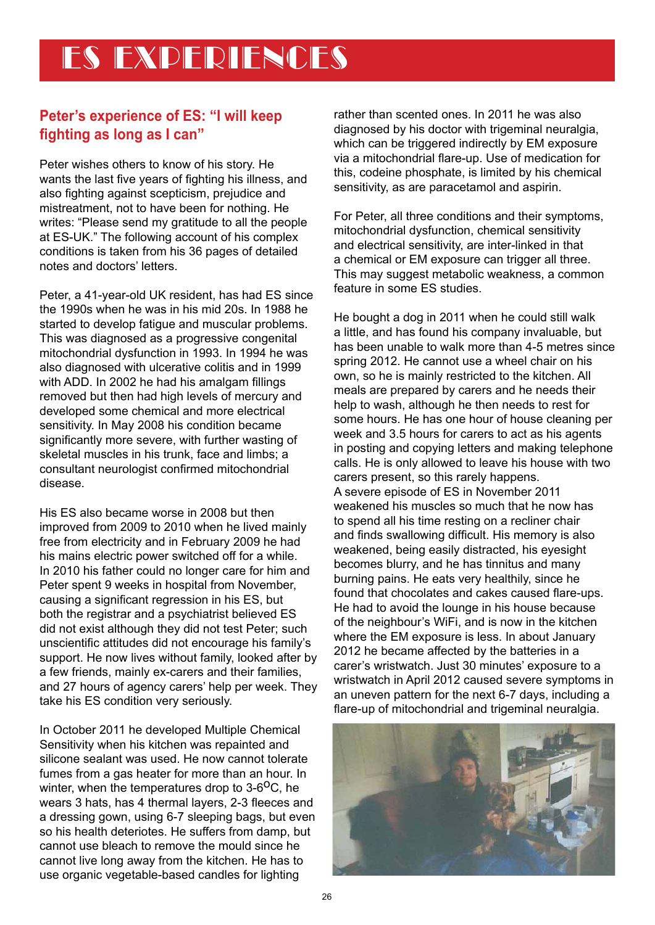# **Peter's experience of ES: "I will keep fighting as long as I can"**

Peter wishes others to know of his story. He wants the last five years of fighting his illness, and also fighting against scepticism, prejudice and mistreatment, not to have been for nothing. He writes: "Please send my gratitude to all the people at ES-UK." The following account of his complex conditions is taken from his 36 pages of detailed notes and doctors' letters.

Peter, a 41-year-old UK resident, has had ES since the 1990s when he was in his mid 20s. In 1988 he started to develop fatigue and muscular problems. This was diagnosed as a progressive congenital mitochondrial dysfunction in 1993. In 1994 he was also diagnosed with ulcerative colitis and in 1999 with ADD. In 2002 he had his amalgam fillings removed but then had high levels of mercury and developed some chemical and more electrical sensitivity. In May 2008 his condition became significantly more severe, with further wasting of skeletal muscles in his trunk, face and limbs; a consultant neurologist confirmed mitochondrial disease.

His ES also became worse in 2008 but then improved from 2009 to 2010 when he lived mainly free from electricity and in February 2009 he had his mains electric power switched off for a while. In 2010 his father could no longer care for him and Peter spent 9 weeks in hospital from November, causing a significant regression in his ES, but both the registrar and a psychiatrist believed ES did not exist although they did not test Peter; such unscientific attitudes did not encourage his family's support. He now lives without family, looked after by a few friends, mainly ex-carers and their families, and 27 hours of agency carers' help per week. They take his ES condition very seriously.

In October 2011 he developed Multiple Chemical Sensitivity when his kitchen was repainted and silicone sealant was used. He now cannot tolerate fumes from a gas heater for more than an hour. In winter, when the temperatures drop to  $3-6<sup>o</sup>C$ , he wears 3 hats, has 4 thermal layers, 2-3 fleeces and a dressing gown, using 6-7 sleeping bags, but even so his health deteriotes. He suffers from damp, but cannot use bleach to remove the mould since he cannot live long away from the kitchen. He has to use organic vegetable-based candles for lighting

rather than scented ones. In 2011 he was also diagnosed by his doctor with trigeminal neuralgia, which can be triggered indirectly by EM exposure via a mitochondrial flare-up. Use of medication for this, codeine phosphate, is limited by his chemical sensitivity, as are paracetamol and aspirin.

For Peter, all three conditions and their symptoms, mitochondrial dysfunction, chemical sensitivity and electrical sensitivity, are inter-linked in that a chemical or EM exposure can trigger all three. This may suggest metabolic weakness, a common feature in some ES studies.

He bought a dog in 2011 when he could still walk a little, and has found his company invaluable, but has been unable to walk more than 4-5 metres since spring 2012. He cannot use a wheel chair on his own, so he is mainly restricted to the kitchen. All meals are prepared by carers and he needs their help to wash, although he then needs to rest for some hours. He has one hour of house cleaning per week and 3.5 hours for carers to act as his agents in posting and copying letters and making telephone calls. He is only allowed to leave his house with two carers present, so this rarely happens. A severe episode of ES in November 2011 weakened his muscles so much that he now has to spend all his time resting on a recliner chair and finds swallowing difficult. His memory is also weakened, being easily distracted, his eyesight becomes blurry, and he has tinnitus and many burning pains. He eats very healthily, since he found that chocolates and cakes caused flare-ups. He had to avoid the lounge in his house because of the neighbour's WiFi, and is now in the kitchen where the EM exposure is less. In about January 2012 he became affected by the batteries in a carer's wristwatch. Just 30 minutes' exposure to a wristwatch in April 2012 caused severe symptoms in an uneven pattern for the next 6-7 days, including a flare-up of mitochondrial and trigeminal neuralgia.

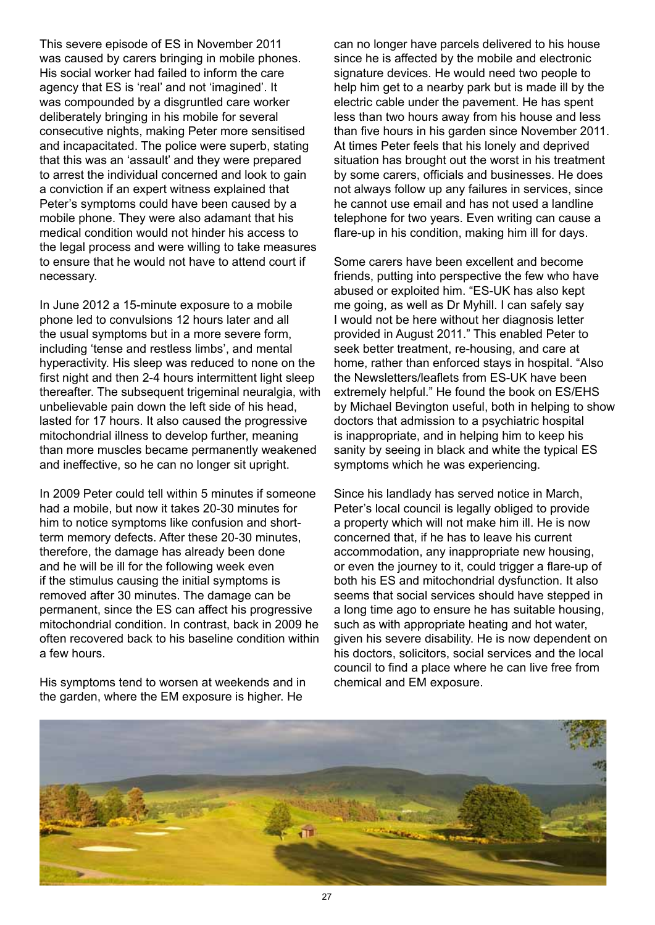This severe episode of ES in November 2011 was caused by carers bringing in mobile phones. His social worker had failed to inform the care agency that ES is 'real' and not 'imagined'. It was compounded by a disgruntled care worker deliberately bringing in his mobile for several consecutive nights, making Peter more sensitised and incapacitated. The police were superb, stating that this was an 'assault' and they were prepared to arrest the individual concerned and look to gain a conviction if an expert witness explained that Peter's symptoms could have been caused by a mobile phone. They were also adamant that his medical condition would not hinder his access to the legal process and were willing to take measures to ensure that he would not have to attend court if necessary.

In June 2012 a 15-minute exposure to a mobile phone led to convulsions 12 hours later and all the usual symptoms but in a more severe form, including 'tense and restless limbs', and mental hyperactivity. His sleep was reduced to none on the first night and then 2-4 hours intermittent light sleep thereafter. The subsequent trigeminal neuralgia, with unbelievable pain down the left side of his head, lasted for 17 hours. It also caused the progressive mitochondrial illness to develop further, meaning than more muscles became permanently weakened and ineffective, so he can no longer sit upright.

In 2009 Peter could tell within 5 minutes if someone had a mobile, but now it takes 20-30 minutes for him to notice symptoms like confusion and shortterm memory defects. After these 20-30 minutes, therefore, the damage has already been done and he will be ill for the following week even if the stimulus causing the initial symptoms is removed after 30 minutes. The damage can be permanent, since the ES can affect his progressive mitochondrial condition. In contrast, back in 2009 he often recovered back to his baseline condition within a few hours.

His symptoms tend to worsen at weekends and in the garden, where the EM exposure is higher. He

can no longer have parcels delivered to his house since he is affected by the mobile and electronic signature devices. He would need two people to help him get to a nearby park but is made ill by the electric cable under the pavement. He has spent less than two hours away from his house and less than five hours in his garden since November 2011. At times Peter feels that his lonely and deprived situation has brought out the worst in his treatment by some carers, officials and businesses. He does not always follow up any failures in services, since he cannot use email and has not used a landline telephone for two years. Even writing can cause a flare-up in his condition, making him ill for days.

Some carers have been excellent and become friends, putting into perspective the few who have abused or exploited him. "ES-UK has also kept me going, as well as Dr Myhill. I can safely say I would not be here without her diagnosis letter provided in August 2011." This enabled Peter to seek better treatment, re-housing, and care at home, rather than enforced stays in hospital. "Also the Newsletters/leaflets from ES-UK have been extremely helpful." He found the book on ES/EHS by Michael Bevington useful, both in helping to show doctors that admission to a psychiatric hospital is inappropriate, and in helping him to keep his sanity by seeing in black and white the typical ES symptoms which he was experiencing.

Since his landlady has served notice in March, Peter's local council is legally obliged to provide a property which will not make him ill. He is now concerned that, if he has to leave his current accommodation, any inappropriate new housing, or even the journey to it, could trigger a flare-up of both his ES and mitochondrial dysfunction. It also seems that social services should have stepped in a long time ago to ensure he has suitable housing, such as with appropriate heating and hot water, given his severe disability. He is now dependent on his doctors, solicitors, social services and the local council to find a place where he can live free from chemical and EM exposure.